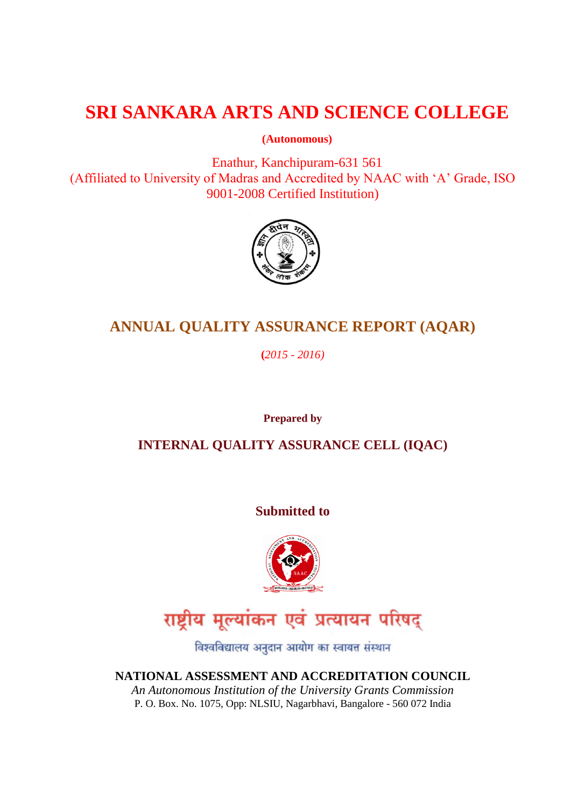# **SRI SANKARA ARTS AND SCIENCE COLLEGE**

**(Autonomous)**

Enathur, Kanchipuram-631 561 (Affiliated to University of Madras and Accredited by NAAC with "A" Grade, ISO 9001-2008 Certified Institution)



# **ANNUAL QUALITY ASSURANCE REPORT (AQAR)**

**(***2015 - 2016)*

**Prepared by**

**INTERNAL QUALITY ASSURANCE CELL (IQAC)**

**Submitted to**



# राष्ट्रीय मूल्यांकन एवं प्रत्यायन परिषद्

विश्वविद्यालय अनुदान आयोग का स्वायत्त संस्थान

**NATIONAL ASSESSMENT AND ACCREDITATION COUNCIL** *An Autonomous Institution of the University Grants Commission*

P. O. Box. No. 1075, Opp: NLSIU, Nagarbhavi, Bangalore - 560 072 India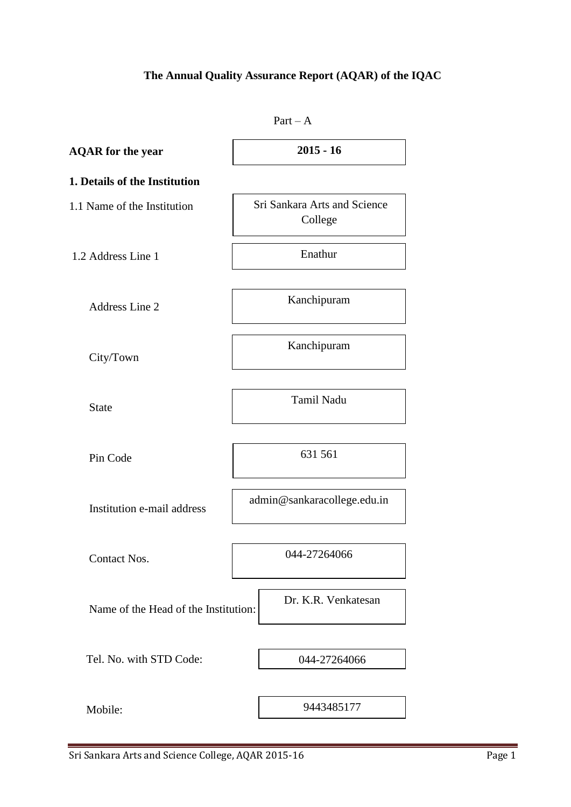# **The Annual Quality Assurance Report (AQAR) of the IQAC**

|                                      | $Part - A$                              |
|--------------------------------------|-----------------------------------------|
| <b>AQAR</b> for the year             | $2015 - 16$                             |
| 1. Details of the Institution        |                                         |
| 1.1 Name of the Institution          | Sri Sankara Arts and Science<br>College |
| 1.2 Address Line 1                   | Enathur                                 |
| <b>Address Line 2</b>                | Kanchipuram                             |
| City/Town                            | Kanchipuram                             |
| <b>State</b>                         | <b>Tamil Nadu</b>                       |
| Pin Code                             | 631 561                                 |
| Institution e-mail address           | admin@sankaracollege.edu.in             |
| Contact Nos.                         | 044-27264066                            |
| Name of the Head of the Institution: | Dr. K.R. Venkatesan                     |
| Tel. No. with STD Code:              | 044-27264066                            |
| Mobile:                              | 9443485177                              |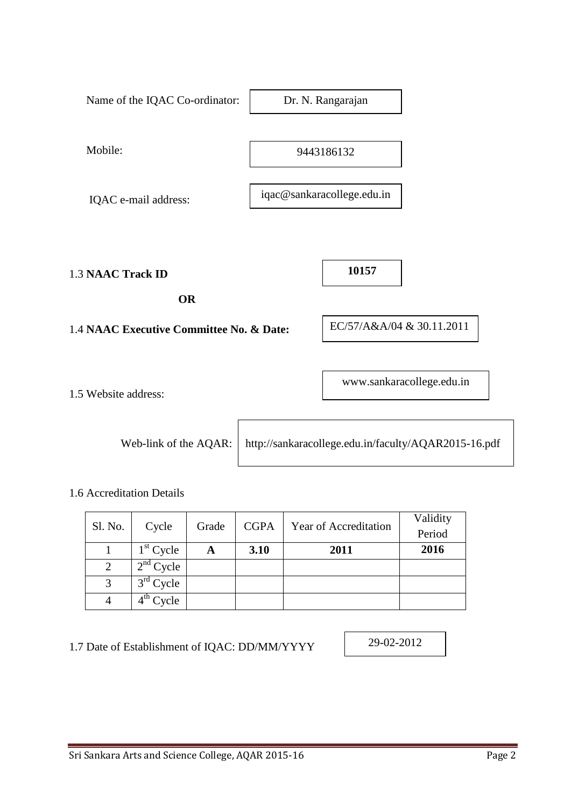| Name of the IQAC Co-ordinator:           | Dr. N. Rangarajan                                    |
|------------------------------------------|------------------------------------------------------|
| Mobile:                                  | 9443186132                                           |
| IQAC e-mail address:                     | iqac@sankaracollege.edu.in                           |
|                                          |                                                      |
| 1.3 NAAC Track ID                        | 10157                                                |
| <b>OR</b>                                |                                                      |
| 1.4 NAAC Executive Committee No. & Date: | EC/57/A&A/04 & 30.11.2011                            |
|                                          |                                                      |
| 1.5 Website address:                     | www.sankaracollege.edu.in                            |
|                                          |                                                      |
| Web-link of the AQAR:                    | http://sankaracollege.edu.in/faculty/AQAR2015-16.pdf |

1.6 Accreditation Details

| Sl. No.                     | Cycle                 | Grade | <b>CGPA</b> | Year of Accreditation | Validity<br>Period |
|-----------------------------|-----------------------|-------|-------------|-----------------------|--------------------|
|                             | $1st$ Cycle           | A     | 3.10        | 2011                  | 2016               |
| $\mathcal{D}_{\mathcal{L}}$ | $2nd$ Cycle           |       |             |                       |                    |
| 3                           | $3rd$ Cycle           |       |             |                       |                    |
|                             | $4^{\text{th}}$ Cycle |       |             |                       |                    |

1.7 Date of Establishment of IQAC: DD/MM/YYYY

29-02-2012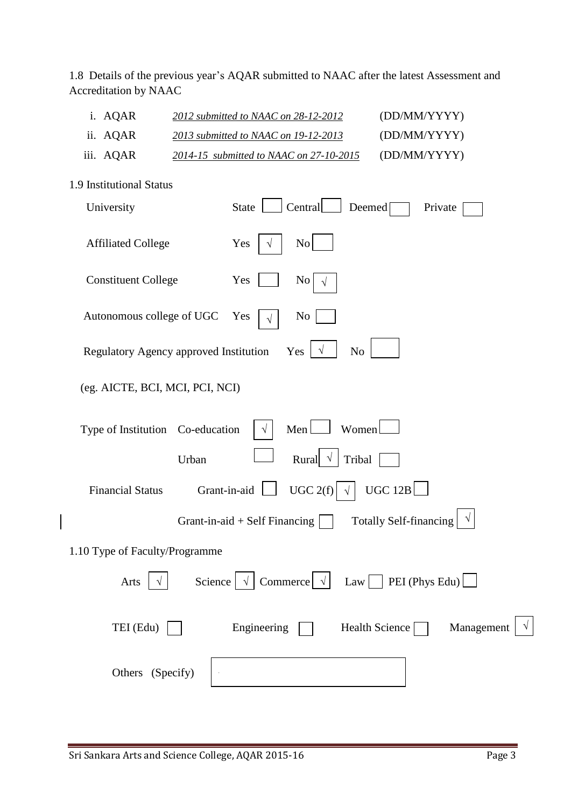1.8 Details of the previous year"s AQAR submitted to NAAC after the latest Assessment and Accreditation by NAAC

| i. AQAR   | 2012 submitted to NAAC on 28-12-2012    | (DD/MM/YYYY) |
|-----------|-----------------------------------------|--------------|
| ii. AQAR  | 2013 submitted to NAAC on $19-12-2013$  | (DD/MM/YYYY) |
| iii. AQAR | 2014-15 submitted to NAAC on 27-10-2015 | (DD/MM/YYYY) |

| 1.9 Institutional Status                |                                                                      |
|-----------------------------------------|----------------------------------------------------------------------|
| University                              | Central<br>Deemed<br><b>State</b><br>Private                         |
| <b>Affiliated College</b>               | $\rm No$<br>Yes                                                      |
| <b>Constituent College</b>              | Yes<br>No.                                                           |
| Autonomous college of UGC               | Yes<br>N <sub>0</sub>                                                |
| Regulatory Agency approved Institution  | Yes<br>N <sub>o</sub><br>V                                           |
| (eg. AICTE, BCI, MCI, PCI, NCI)         |                                                                      |
| Type of Institution Co-education        | Men<br>Women                                                         |
| Urban                                   | Tribal<br>Rural $\sqrt{ }$                                           |
| Grant-in-aid<br><b>Financial Status</b> | UGC $2(f)$<br>UGC 12B                                                |
|                                         | <b>Totally Self-financing</b><br>Grant-in-aid + Self Financing       |
| 1.10 Type of Faculty/Programme          |                                                                      |
| Science<br>Arts                         | PEI (Phys Edu)<br>Commerce $\vert \sqrt{\vert}$<br>Law<br>$\sqrt{ }$ |
| TEI (Edu)                               | Engineering<br>Health Science<br>Management                          |
| Others (Specify)                        |                                                                      |

 $\begin{array}{c} \hline \end{array}$ 

**√**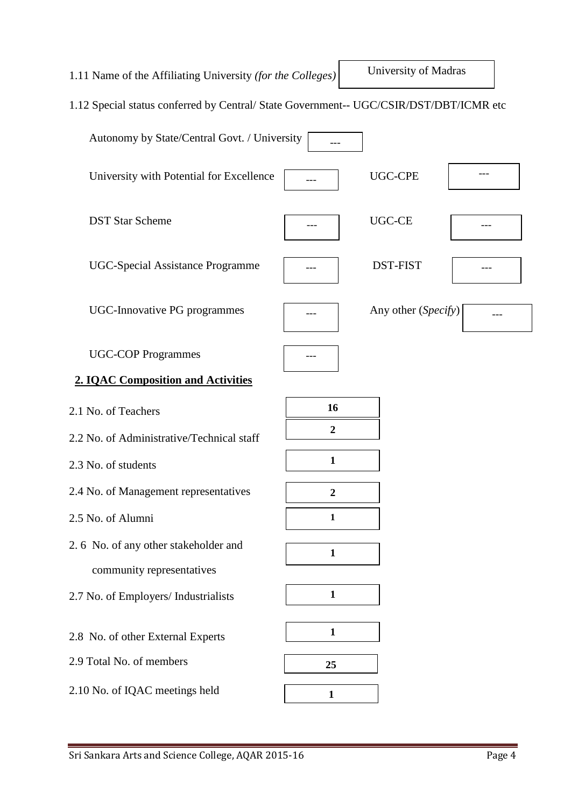| 1.11 Name of the Affiliating University (for the Colleges) |  |  |  |  |  |  |  |
|------------------------------------------------------------|--|--|--|--|--|--|--|
|------------------------------------------------------------|--|--|--|--|--|--|--|

University of Madras

1.12 Special status conferred by Central/ State Government-- UGC/CSIR/DST/DBT/ICMR etc

| Autonomy by State/Central Govt. / University                           |                |                     |  |
|------------------------------------------------------------------------|----------------|---------------------|--|
| University with Potential for Excellence                               |                | <b>UGC-CPE</b>      |  |
| <b>DST Star Scheme</b>                                                 |                | UGC-CE              |  |
| <b>UGC-Special Assistance Programme</b>                                |                | <b>DST-FIST</b>     |  |
| <b>UGC-Innovative PG programmes</b>                                    |                | Any other (Specify) |  |
| <b>UGC-COP Programmes</b><br><b>2. IQAC Composition and Activities</b> |                |                     |  |
|                                                                        |                |                     |  |
| 2.1 No. of Teachers                                                    | 16             |                     |  |
| 2.2 No. of Administrative/Technical staff                              | $\overline{2}$ |                     |  |
| 2.3 No. of students                                                    | $\mathbf{1}$   |                     |  |
| 2.4 No. of Management representatives                                  | $\overline{2}$ |                     |  |
| 2.5 No. of Alumni                                                      | 1              |                     |  |
| 2.6 No. of any other stakeholder and<br>community representatives      |                |                     |  |
| 2.7 No. of Employers/ Industrialists                                   | 1              |                     |  |
| 2.8 No. of other External Experts                                      | $\mathbf{1}$   |                     |  |
| 2.9 Total No. of members                                               | 25             |                     |  |
| 2.10 No. of IQAC meetings held                                         | $\mathbf{1}$   |                     |  |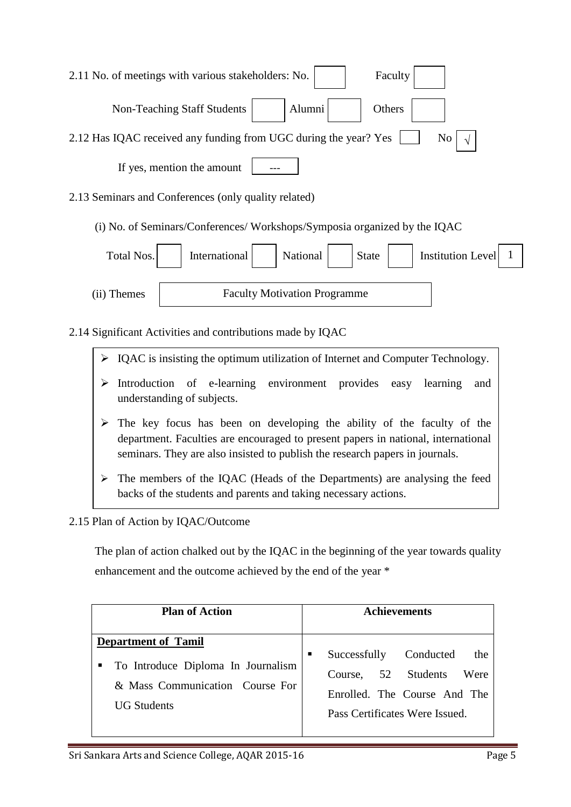| 2.11 No. of meetings with various stakeholders: No.<br>Faculty         |
|------------------------------------------------------------------------|
| Non-Teaching Staff Students<br>  Alumni   Others                       |
| 2.12 Has IQAC received any funding from UGC during the year? Yes<br>No |
| If yes, mention the amount                                             |

2.13 Seminars and Conferences (only quality related)

(i) No. of Seminars/Conferences/ Workshops/Symposia organized by the IQAC

| Total Nos.  | International | National                            | <b>State</b> | Institution Level |  |
|-------------|---------------|-------------------------------------|--------------|-------------------|--|
| (ii) Themes |               | <b>Faculty Motivation Programme</b> |              |                   |  |

2.14 Significant Activities and contributions made by IQAC

 $\triangleright$  IQAC is insisting the optimum utilization of Internet and Computer Technology.

- $\triangleright$  Introduction of e-learning environment provides easy learning and understanding of subjects.
- $\triangleright$  The key focus has been on developing the ability of the faculty of the department. Faculties are encouraged to present papers in national, international seminars. They are also insisted to publish the research papers in journals.
- $\triangleright$  The members of the IQAC (Heads of the Departments) are analysing the feed backs of the students and parents and taking necessary actions.

### 2.15 Plan of Action by IQAC/Outcome

 The plan of action chalked out by the IQAC in the beginning of the year towards quality enhancement and the outcome achieved by the end of the year \*

| <b>Plan of Action</b>                                                                                              | <b>Achievements</b>                                                                                                                    |
|--------------------------------------------------------------------------------------------------------------------|----------------------------------------------------------------------------------------------------------------------------------------|
| <b>Department of Tamil</b><br>To Introduce Diploma In Journalism<br>& Mass Communication Course For<br>UG Students | Conducted<br>Successfully<br>the<br>п<br>Course, 52 Students<br>Were<br>Enrolled. The Course And The<br>Pass Certificates Were Issued. |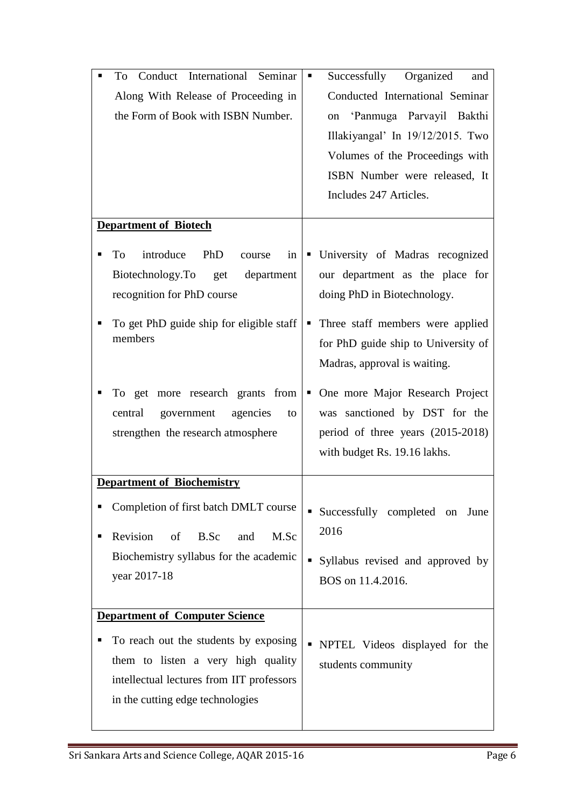| To Conduct International Seminar<br>Along With Release of Proceeding in<br>the Form of Book with ISBN Number.                                                     | Successfully Organized<br>$\blacksquare$<br>and<br>Conducted International Seminar<br>on 'Panmuga Parvayil Bakthi<br>Illakiyangal' In 19/12/2015. Two<br>Volumes of the Proceedings with<br>ISBN Number were released, It<br>Includes 247 Articles. |
|-------------------------------------------------------------------------------------------------------------------------------------------------------------------|-----------------------------------------------------------------------------------------------------------------------------------------------------------------------------------------------------------------------------------------------------|
|                                                                                                                                                                   |                                                                                                                                                                                                                                                     |
| <b>Department of Biotech</b>                                                                                                                                      |                                                                                                                                                                                                                                                     |
| introduce<br>PhD<br>To<br>in<br>course<br>Biotechnology.To<br>get department<br>recognition for PhD course                                                        | University of Madras recognized<br>Ξ<br>our department as the place for<br>doing PhD in Biotechnology.                                                                                                                                              |
| To get PhD guide ship for eligible staff<br>members                                                                                                               | Three staff members were applied<br>п<br>for PhD guide ship to University of<br>Madras, approval is waiting.                                                                                                                                        |
| To get more research grants from<br>government<br>agencies<br>central<br>to<br>strengthen the research atmosphere                                                 | One more Major Research Project<br>п<br>was sanctioned by DST for the<br>period of three years (2015-2018)<br>with budget Rs. 19.16 lakhs.                                                                                                          |
| <b>Department of Biochemistry</b>                                                                                                                                 |                                                                                                                                                                                                                                                     |
| Completion of first batch DMLT course<br>п<br>Revision<br>of<br>B.Sc<br>M.Sc<br>and<br>п<br>Biochemistry syllabus for the academic<br>year 2017-18                | Successfully completed on June<br>2016<br>Syllabus revised and approved by<br>$\blacksquare$<br>BOS on 11.4.2016.                                                                                                                                   |
| <b>Department of Computer Science</b>                                                                                                                             |                                                                                                                                                                                                                                                     |
| To reach out the students by exposing<br>п<br>them to listen a very high quality<br>intellectual lectures from IIT professors<br>in the cutting edge technologies | NPTEL Videos displayed for the<br>٠<br>students community                                                                                                                                                                                           |

 $\overline{\phantom{a}}$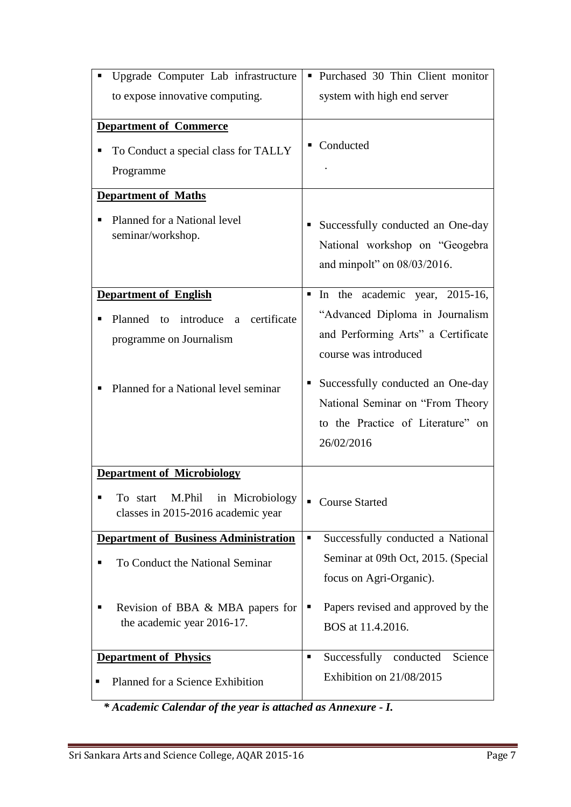| Upgrade Computer Lab infrastructure                                   | • Purchased 30 Thin Client monitor                                                                       |
|-----------------------------------------------------------------------|----------------------------------------------------------------------------------------------------------|
| to expose innovative computing.                                       | system with high end server                                                                              |
| <b>Department of Commerce</b>                                         |                                                                                                          |
| To Conduct a special class for TALLY                                  | • Conducted                                                                                              |
| Programme                                                             |                                                                                                          |
| <b>Department of Maths</b>                                            |                                                                                                          |
| Planned for a National level<br>seminar/workshop.                     | Successfully conducted an One-day<br>п<br>National workshop on "Geogebra"<br>and minpolt" on 08/03/2016. |
| <b>Department of English</b>                                          | In the academic year, 2015-16,                                                                           |
| Planned to introduce a certificate                                    | "Advanced Diploma in Journalism                                                                          |
| programme on Journalism                                               | and Performing Arts" a Certificate                                                                       |
|                                                                       | course was introduced                                                                                    |
| Planned for a National level seminar                                  | Successfully conducted an One-day<br>п                                                                   |
|                                                                       | National Seminar on "From Theory                                                                         |
|                                                                       | to the Practice of Literature" on                                                                        |
|                                                                       | 26/02/2016                                                                                               |
| <b>Department of Microbiology</b>                                     |                                                                                                          |
| To start M.Phil in Microbiology<br>classes in 2015-2016 academic year | • Course Started                                                                                         |
| <b>Department of Business Administration</b>                          | Successfully conducted a National<br>п                                                                   |
|                                                                       | Seminar at 09th Oct, 2015. (Special                                                                      |
| To Conduct the National Seminar                                       | focus on Agri-Organic).                                                                                  |
|                                                                       |                                                                                                          |
| Revision of BBA & MBA papers for<br>the academic year 2016-17.        | Papers revised and approved by the<br>ш                                                                  |
|                                                                       | BOS at 11.4.2016.                                                                                        |
| <b>Department of Physics</b>                                          | Successfully<br>conducted<br>Science<br>٠                                                                |
| Planned for a Science Exhibition                                      | Exhibition on 21/08/2015                                                                                 |
|                                                                       |                                                                                                          |

 *\* Academic Calendar of the year is attached as Annexure - I.*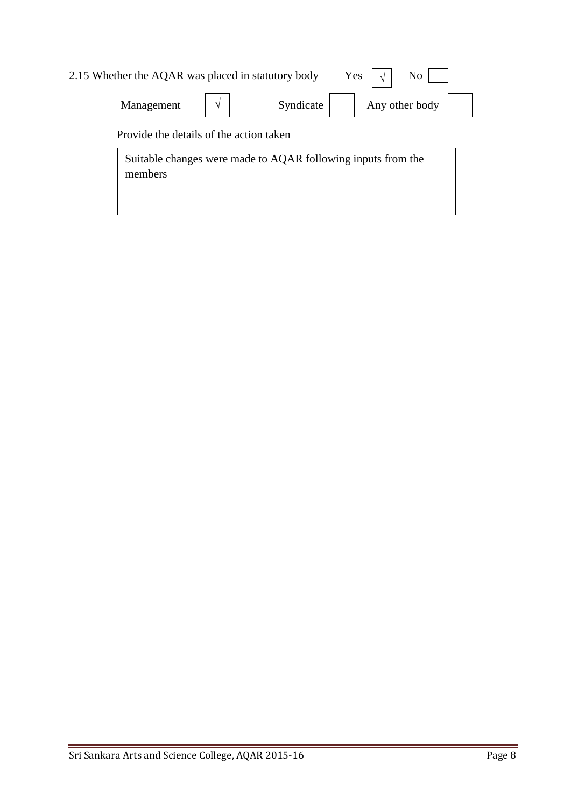| Yes<br>N <sub>o</sub><br>2.15 Whether the AQAR was placed in statutory body<br>V |  |           |                |  |  |  |
|----------------------------------------------------------------------------------|--|-----------|----------------|--|--|--|
| Management                                                                       |  | Syndicate | Any other body |  |  |  |
| Provide the details of the action taken                                          |  |           |                |  |  |  |
| Suitable changes were made to AQAR following inputs from the<br>members          |  |           |                |  |  |  |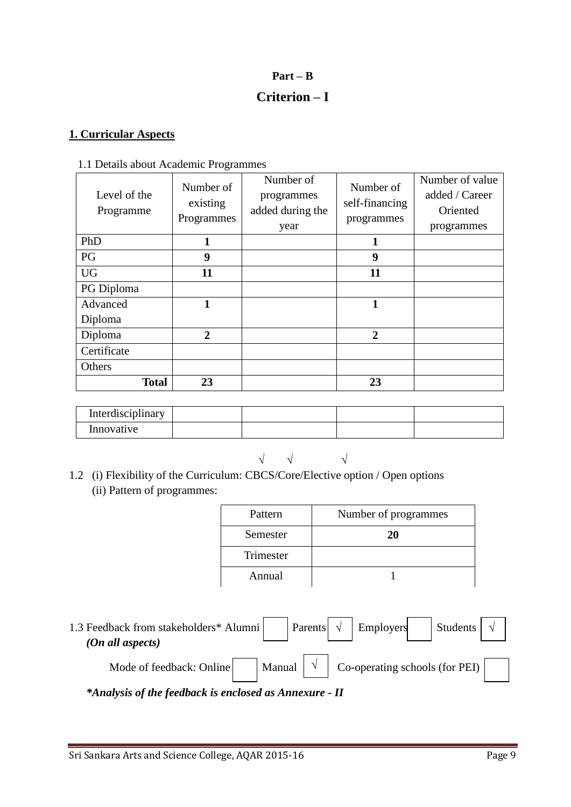# **Part – B Criterion – I**

#### **1. Curricular Aspects**

#### 1.1 Details about Academic Programmes

| Level of the<br>Programme | Number of<br>existing<br>Programmes | Number of<br>programmes<br>added during the<br>year | Number of<br>self-financing<br>programmes | Number of value<br>added / Career<br>Oriented<br>programmes |
|---------------------------|-------------------------------------|-----------------------------------------------------|-------------------------------------------|-------------------------------------------------------------|
| PhD                       | 1                                   |                                                     | 1                                         |                                                             |
| PG                        | 9                                   |                                                     | 9                                         |                                                             |
| <b>UG</b>                 | 11                                  |                                                     | 11                                        |                                                             |
| PG Diploma                |                                     |                                                     |                                           |                                                             |
| Advanced                  | 1                                   |                                                     | 1                                         |                                                             |
| Diploma                   |                                     |                                                     |                                           |                                                             |
| Diploma                   | $\mathbf{2}$                        |                                                     | 2                                         |                                                             |
| Certificate               |                                     |                                                     |                                           |                                                             |
| Others                    |                                     |                                                     |                                           |                                                             |
| <b>Total</b>              | 23                                  |                                                     | 23                                        |                                                             |

| Interdisciplinary |  |  |
|-------------------|--|--|
| Innovative        |  |  |

√ √ √

1.2 (i) Flexibility of the Curriculum: CBCS/Core/Elective option / Open options (ii) Pattern of programmes:

| Pattern   | Number of programmes |
|-----------|----------------------|
| Semester  | 20                   |
| Trimester |                      |
| Annual    |                      |

1.3 Feedback from stakeholders\* Alumni Parents  $\begin{array}{|c|c|c|c|c|c|} \hline \end{array}$  Parents  $\begin{array}{|c|c|c|c|c|c|c|c|} \hline \end{array}$  Students  *(On all aspects)* Mode of feedback: Online  $\vert \cdot \vert$  Manual  $\vert \cdot \vert$  Co-operating schools (for PEI) Employers √

*\*Analysis of the feedback is enclosed as Annexure - II*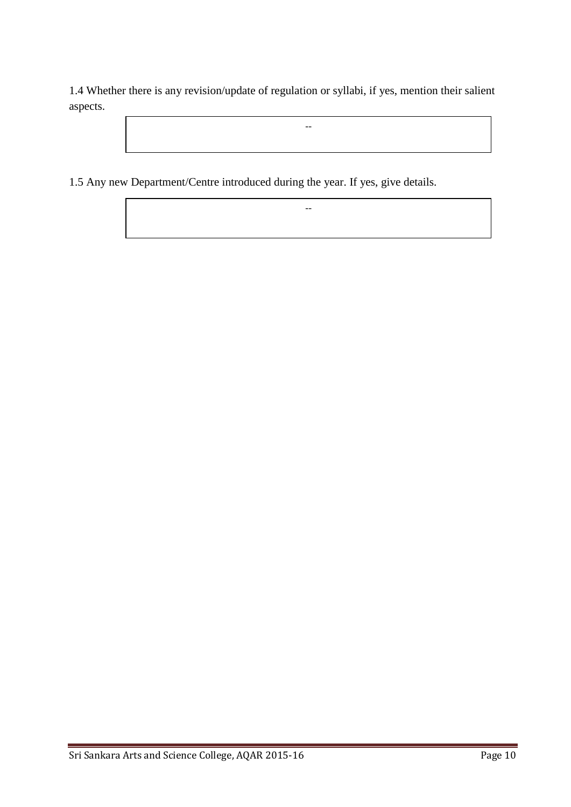1.4 Whether there is any revision/update of regulation or syllabi, if yes, mention their salient aspects.

--

--

1.5 Any new Department/Centre introduced during the year. If yes, give details.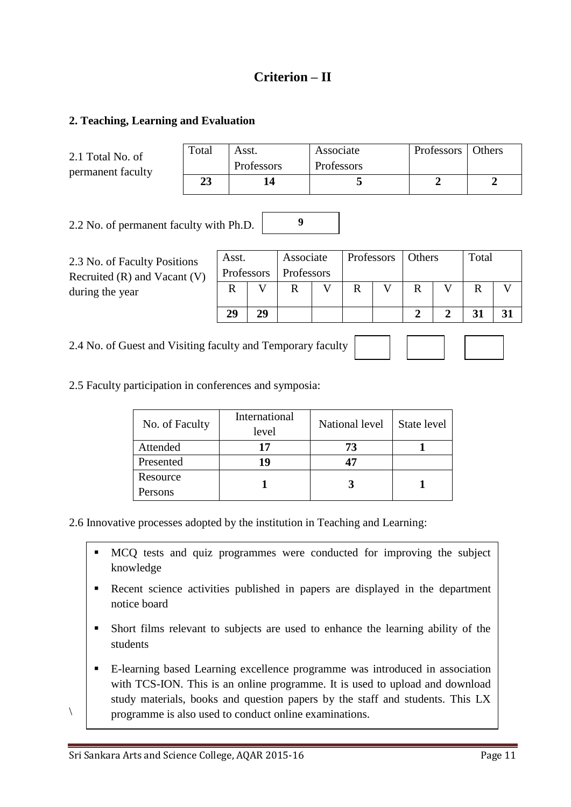# **Criterion – II**

**9**

#### **2. Teaching, Learning and Evaluation**

2.1 Total No. of permanent faculty

| Total | Asst.<br>Professors | Associate<br>Professors | Professors   Others |  |
|-------|---------------------|-------------------------|---------------------|--|
|       |                     |                         |                     |  |

2.2 No. of permanent faculty with Ph.D.

2.3 No. of Faculty Positions Recruited (R) and Vacant (V) during the year

| Asst. |    | Associate               |   | Professors   Others |  | Total |    |
|-------|----|-------------------------|---|---------------------|--|-------|----|
|       |    | Professors   Professors |   |                     |  |       |    |
| R     |    |                         | R |                     |  | R     |    |
|       |    |                         |   |                     |  |       |    |
| 29    | 20 |                         |   |                     |  | 31    | п. |

2.4 No. of Guest and Visiting faculty and Temporary faculty

2.5 Faculty participation in conferences and symposia:

| No. of Faculty | International<br>level | National level | State level |
|----------------|------------------------|----------------|-------------|
| Attended       |                        |                |             |
| Presented      | 19                     |                |             |
| Resource       |                        |                |             |
| Persons        |                        |                |             |

2.6 Innovative processes adopted by the institution in Teaching and Learning:

- MCQ tests and quiz programmes were conducted for improving the subject knowledge
- Recent science activities published in papers are displayed in the department notice board
- Short films relevant to subjects are used to enhance the learning ability of the students
- E-learning based Learning excellence programme was introduced in association with TCS-ION. This is an online programme. It is used to upload and download study materials, books and question papers by the staff and students. This LX programme is also used to conduct online examinations.

 $\setminus$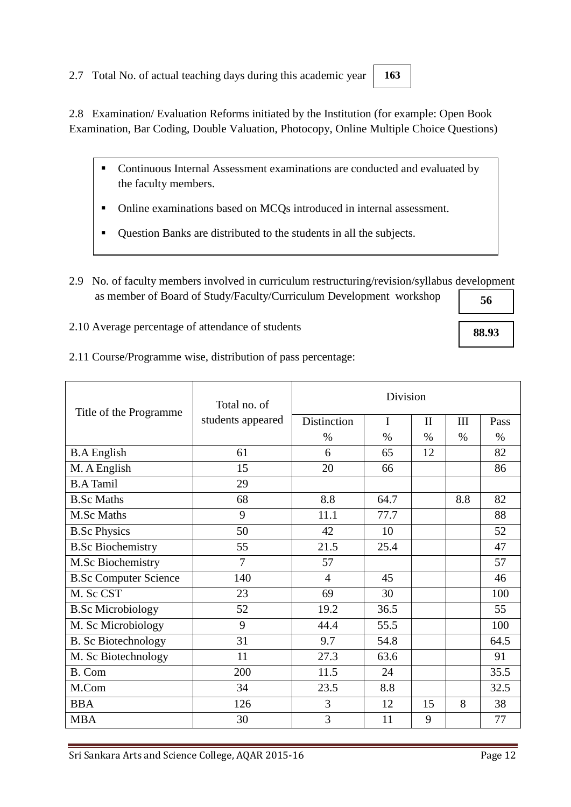2.8 Examination/ Evaluation Reforms initiated by the Institution (for example: Open Book Examination, Bar Coding, Double Valuation, Photocopy, Online Multiple Choice Questions)

**163**

- Continuous Internal Assessment examinations are conducted and evaluated by the faculty members.
- Online examinations based on MCQs introduced in internal assessment.
- Question Banks are distributed to the students in all the subjects.
- 2.9 No. of faculty members involved in curriculum restructuring/revision/syllabus development as member of Board of Study/Faculty/Curriculum Development workshop **56**
	-

2.10 Average percentage of attendance of students

**88.93**

2.11 Course/Programme wise, distribution of pass percentage:

| Title of the Programme       | Total no. of      | Division           |      |               |               |               |
|------------------------------|-------------------|--------------------|------|---------------|---------------|---------------|
|                              | students appeared | <b>Distinction</b> | I    | $\mathbf{I}$  | III           | Pass          |
|                              |                   | $\%$               | $\%$ | $\frac{0}{0}$ | $\frac{0}{0}$ | $\frac{0}{0}$ |
| <b>B.A</b> English           | 61                | 6                  | 65   | 12            |               | 82            |
| M. A English                 | 15                | 20                 | 66   |               |               | 86            |
| <b>B.A Tamil</b>             | 29                |                    |      |               |               |               |
| <b>B.Sc Maths</b>            | 68                | 8.8                | 64.7 |               | 8.8           | 82            |
| <b>M.Sc Maths</b>            | 9                 | 11.1               | 77.7 |               |               | 88            |
| <b>B.Sc Physics</b>          | 50                | 42                 | 10   |               |               | 52            |
| <b>B.Sc Biochemistry</b>     | 55                | 21.5               | 25.4 |               |               | 47            |
| M.Sc Biochemistry            | 7                 | 57                 |      |               |               | 57            |
| <b>B.Sc Computer Science</b> | 140               | $\overline{4}$     | 45   |               |               | 46            |
| M. Sc CST                    | 23                | 69                 | 30   |               |               | 100           |
| <b>B.Sc Microbiology</b>     | 52                | 19.2               | 36.5 |               |               | 55            |
| M. Sc Microbiology           | 9                 | 44.4               | 55.5 |               |               | 100           |
| <b>B.</b> Sc Biotechnology   | 31                | 9.7                | 54.8 |               |               | 64.5          |
| M. Sc Biotechnology          | 11                | 27.3               | 63.6 |               |               | 91            |
| B. Com                       | 200               | 11.5               | 24   |               |               | 35.5          |
| M.Com                        | 34                | 23.5               | 8.8  |               |               | 32.5          |
| <b>BBA</b>                   | 126               | 3                  | 12   | 15            | 8             | 38            |
| <b>MBA</b>                   | 30                | 3                  | 11   | 9             |               | 77            |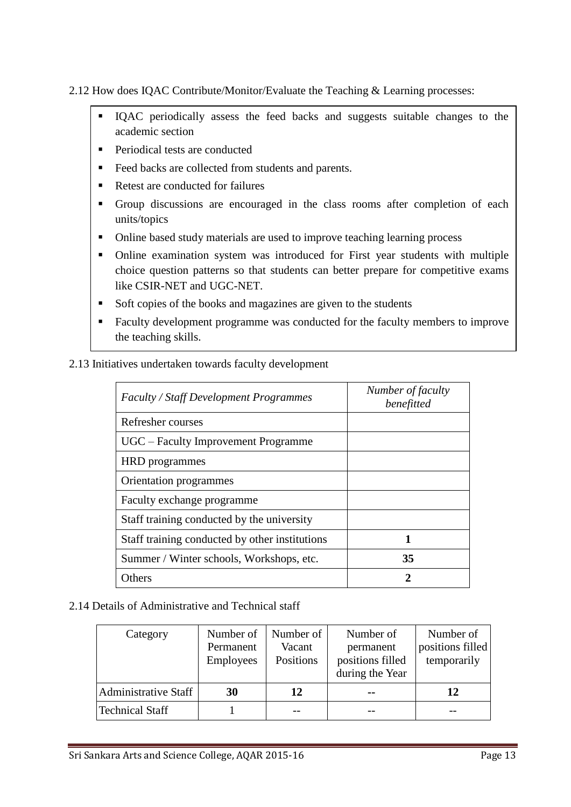#### 2.12 How does IQAC Contribute/Monitor/Evaluate the Teaching & Learning processes:

- IQAC periodically assess the feed backs and suggests suitable changes to the academic section
- Periodical tests are conducted
- Feed backs are collected from students and parents.
- Retest are conducted for failures
- Group discussions are encouraged in the class rooms after completion of each units/topics
- Online based study materials are used to improve teaching learning process
- Online examination system was introduced for First year students with multiple choice question patterns so that students can better prepare for competitive exams like CSIR-NET and UGC-NET.
- Soft copies of the books and magazines are given to the students
- Faculty development programme was conducted for the faculty members to improve the teaching skills.

| <b>Faculty / Staff Development Programmes</b>  | Number of faculty<br>benefitted |
|------------------------------------------------|---------------------------------|
| Refresher courses                              |                                 |
| UGC – Faculty Improvement Programme            |                                 |
| <b>HRD</b> programmes                          |                                 |
| Orientation programmes                         |                                 |
| Faculty exchange programme                     |                                 |
| Staff training conducted by the university     |                                 |
| Staff training conducted by other institutions | 1                               |
| Summer / Winter schools, Workshops, etc.       | 35                              |
| Others                                         |                                 |

#### 2.13 Initiatives undertaken towards faculty development

#### 2.14 Details of Administrative and Technical staff

| Category                    | Number of<br>Permanent<br><b>Employees</b> | Number of<br>Vacant<br>Positions | Number of<br>permanent<br>positions filled<br>during the Year | Number of<br>positions filled<br>temporarily |
|-----------------------------|--------------------------------------------|----------------------------------|---------------------------------------------------------------|----------------------------------------------|
| <b>Administrative Staff</b> | 30                                         | 12                               | --                                                            | 12                                           |
| <b>Technical Staff</b>      |                                            |                                  |                                                               |                                              |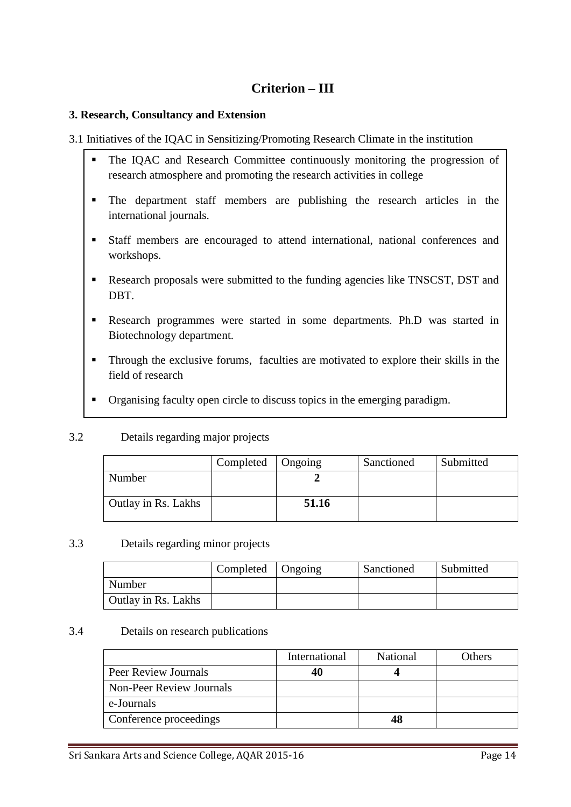# **Criterion – III**

#### **3. Research, Consultancy and Extension**

- 3.1 Initiatives of the IQAC in Sensitizing/Promoting Research Climate in the institution
	- The IQAC and Research Committee continuously monitoring the progression of research atmosphere and promoting the research activities in college
	- The department staff members are publishing the research articles in the international journals.
	- Staff members are encouraged to attend international, national conferences and workshops.
	- Research proposals were submitted to the funding agencies like TNSCST, DST and DBT.
	- Research programmes were started in some departments. Ph.D was started in Biotechnology department.
	- Through the exclusive forums, faculties are motivated to explore their skills in the field of research
	- Organising faculty open circle to discuss topics in the emerging paradigm.

#### 3.2 Details regarding major projects

|                            | Completed   Ongoing |       | Sanctioned | Submitted |
|----------------------------|---------------------|-------|------------|-----------|
| Number                     |                     |       |            |           |
| <b>Outlay in Rs. Lakhs</b> |                     | 51.16 |            |           |

3.3 Details regarding minor projects

|                     | Completed | $\log$   Ongoing | Sanctioned | Submitted |
|---------------------|-----------|------------------|------------|-----------|
| Number              |           |                  |            |           |
| Outlay in Rs. Lakhs |           |                  |            |           |

#### 3.4 Details on research publications

|                                 | International | National | Others |
|---------------------------------|---------------|----------|--------|
| Peer Review Journals            | 40            |          |        |
| <b>Non-Peer Review Journals</b> |               |          |        |
| e-Journals                      |               |          |        |
| Conference proceedings          |               |          |        |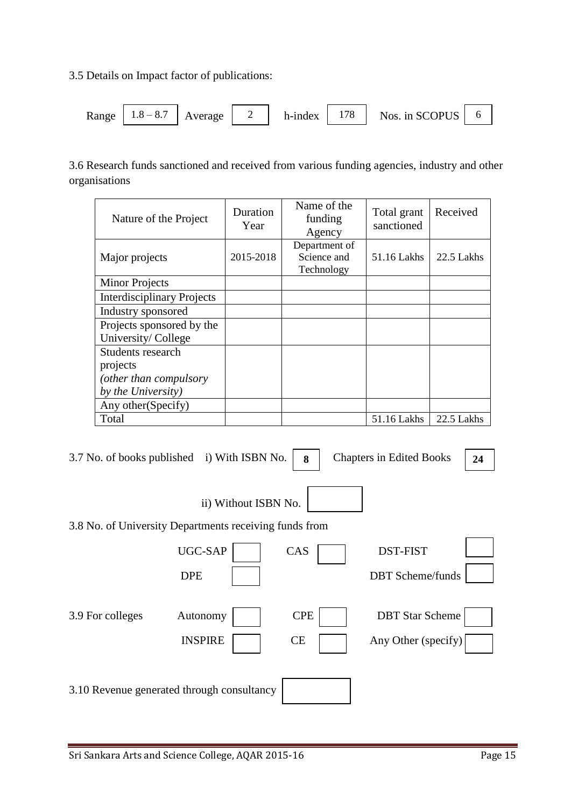3.5 Details on Impact factor of publications:

| Range   $1.8 - 8.7$   Average   2   h-index   178  <br>Nos. in SCOPUS $\begin{bmatrix} 6 \end{bmatrix}$ |
|---------------------------------------------------------------------------------------------------------|
|---------------------------------------------------------------------------------------------------------|

3.6 Research funds sanctioned and received from various funding agencies, industry and other organisations

| Nature of the Project             | Duration<br>Year | Name of the<br>funding<br>Agency           | Total grant<br>sanctioned | Received   |
|-----------------------------------|------------------|--------------------------------------------|---------------------------|------------|
| Major projects                    | 2015-2018        | Department of<br>Science and<br>Technology | 51.16 Lakhs               | 22.5 Lakhs |
| <b>Minor Projects</b>             |                  |                                            |                           |            |
| <b>Interdisciplinary Projects</b> |                  |                                            |                           |            |
| Industry sponsored                |                  |                                            |                           |            |
| Projects sponsored by the         |                  |                                            |                           |            |
| University/College                |                  |                                            |                           |            |
| Students research                 |                  |                                            |                           |            |
| projects                          |                  |                                            |                           |            |
| (other than compulsory            |                  |                                            |                           |            |
| by the University)                |                  |                                            |                           |            |
| Any other (Specify)               |                  |                                            |                           |            |
| Total                             |                  |                                            | 51.16 Lakhs               | 22.5 Lakhs |

|  | 3.7 No. of books published i) With ISBN No.   8   Chapters in Edited Books |  |  |  |
|--|----------------------------------------------------------------------------|--|--|--|
|--|----------------------------------------------------------------------------|--|--|--|

| <b>Chapters in Edited Books</b><br>8 | 24 |
|--------------------------------------|----|
|--------------------------------------|----|

|                  | ii) Without ISBN No.                                   |                         |                                               |
|------------------|--------------------------------------------------------|-------------------------|-----------------------------------------------|
|                  | 3.8 No. of University Departments receiving funds from |                         |                                               |
|                  | UGC-SAP<br><b>DPE</b>                                  | CAS                     | <b>DST-FIST</b><br><b>DBT</b> Scheme/funds    |
| 3.9 For colleges | Autonomy<br><b>INSPIRE</b>                             | <b>CPE</b><br><b>CE</b> | <b>DBT</b> Star Scheme<br>Any Other (specify) |
|                  | 3.10 Revenue generated through consultancy             |                         |                                               |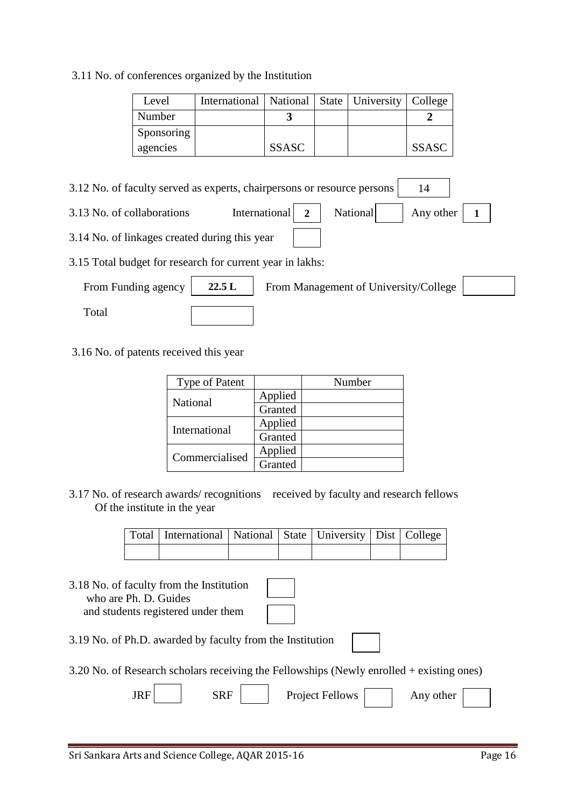#### 3.11 No. of conferences organized by the Institution

|                                                                                             | Level      | International                                                           | National     | <b>State</b> | University | College      |  |
|---------------------------------------------------------------------------------------------|------------|-------------------------------------------------------------------------|--------------|--------------|------------|--------------|--|
|                                                                                             | Number     |                                                                         | 3            |              |            | 2            |  |
|                                                                                             | Sponsoring |                                                                         |              |              |            |              |  |
|                                                                                             | agencies   |                                                                         | <b>SSASC</b> |              |            | <b>SSASC</b> |  |
|                                                                                             |            |                                                                         |              |              |            |              |  |
|                                                                                             |            | 3.12 No. of faculty served as experts, chairpersons or resource persons |              |              |            | 14           |  |
| National<br>International<br>3.13 No. of collaborations<br>Any other<br>$\overline{2}$<br>1 |            |                                                                         |              |              |            |              |  |
| 3.14 No. of linkages created during this year                                               |            |                                                                         |              |              |            |              |  |
| 3.15 Total budget for research for current year in lakhs:                                   |            |                                                                         |              |              |            |              |  |
| 22.5L<br>From Management of University/College<br>From Funding agency                       |            |                                                                         |              |              |            |              |  |
| Total                                                                                       |            |                                                                         |              |              |            |              |  |

3.16 No. of patents received this year

| <b>Type of Patent</b> |         | Number |
|-----------------------|---------|--------|
| National              | Applied |        |
|                       | Granted |        |
| International         | Applied |        |
|                       | Granted |        |
| Commercialised        | Applied |        |
|                       | Granted |        |

3.17 No. of research awards/ recognitions received by faculty and research fellows Of the institute in the year

| Total   International   National   State   University   Dist   College |  |  |  |
|------------------------------------------------------------------------|--|--|--|
|                                                                        |  |  |  |

3.18 No. of faculty from the Institution who are Ph. D. Guides and students registered under them

3.19 No. of Ph.D. awarded by faculty from the Institution

3.20 No. of Research scholars receiving the Fellowships (Newly enrolled + existing ones)

| JILL | 'DF<br>SRF | <b>Project Fellows</b> | Any other |  |
|------|------------|------------------------|-----------|--|
|      |            |                        |           |  |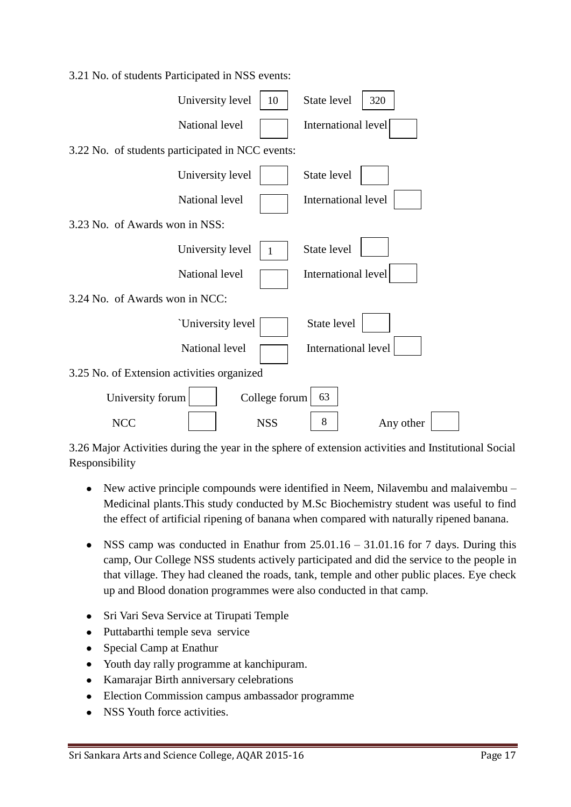| University level<br>10                           | State level<br>320  |  |  |  |  |
|--------------------------------------------------|---------------------|--|--|--|--|
| National level                                   | International level |  |  |  |  |
| 3.22 No. of students participated in NCC events: |                     |  |  |  |  |
| University level                                 | State level         |  |  |  |  |
| National level                                   | International level |  |  |  |  |
| 3.23 No. of Awards won in NSS:                   |                     |  |  |  |  |
| University level<br>1                            | State level         |  |  |  |  |
| National level                                   | International level |  |  |  |  |
| 3.24 No. of Awards won in NCC:                   |                     |  |  |  |  |
| <b>Conversity level</b>                          | State level         |  |  |  |  |
| National level                                   | International level |  |  |  |  |
| 3.25 No. of Extension activities organized       |                     |  |  |  |  |
| College forum<br>University forum                | 63                  |  |  |  |  |
| <b>NCC</b><br><b>NSS</b>                         | 8<br>Any other      |  |  |  |  |

3.26 Major Activities during the year in the sphere of extension activities and Institutional Social Responsibility

- New active principle compounds were identified in Neem, Nilavembu and malaivembu Medicinal plants.This study conducted by M.Sc Biochemistry student was useful to find the effect of artificial ripening of banana when compared with naturally ripened banana.
- NSS camp was conducted in Enathur from  $25.01.16 31.01.16$  for 7 days. During this camp, Our College NSS students actively participated and did the service to the people in that village. They had cleaned the roads, tank, temple and other public places. Eye check up and Blood donation programmes were also conducted in that camp.
- Sri Vari Seva Service at Tirupati Temple

3.21 No. of students Participated in NSS events:

- Puttabarthi temple seva service
- Special Camp at Enathur  $\bullet$
- Youth day rally programme at kanchipuram.
- Kamarajar Birth anniversary celebrations
- Election Commission campus ambassador programme
- NSS Youth force activities.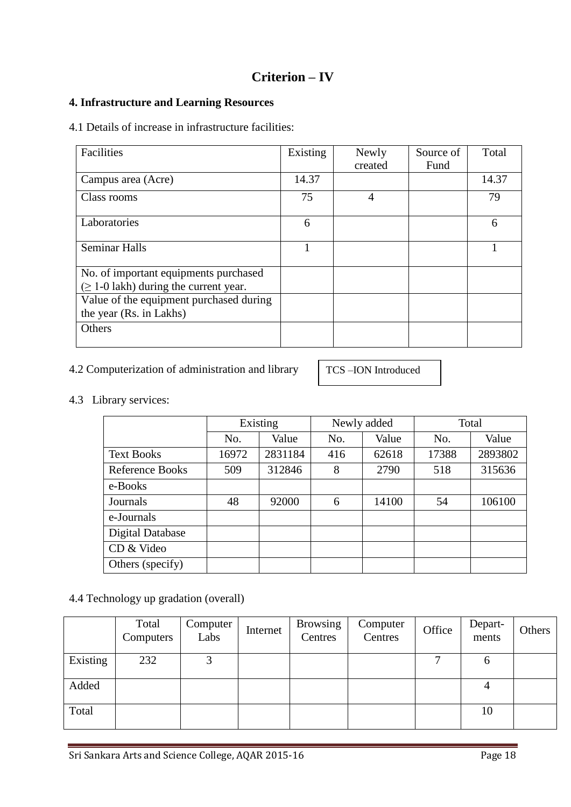# **Criterion – IV**

### **4. Infrastructure and Learning Resources**

4.1 Details of increase in infrastructure facilities:

| Facilities                                  | Existing | Newly   | Source of | Total |
|---------------------------------------------|----------|---------|-----------|-------|
|                                             |          | created | Fund      |       |
| Campus area (Acre)                          | 14.37    |         |           | 14.37 |
| Class rooms                                 | 75       | 4       |           | 79    |
| Laboratories                                | 6        |         |           | 6     |
| <b>Seminar Halls</b>                        |          |         |           |       |
| No. of important equipments purchased       |          |         |           |       |
| $(\geq 1$ -0 lakh) during the current year. |          |         |           |       |
| Value of the equipment purchased during     |          |         |           |       |
| the year (Rs. in Lakhs)                     |          |         |           |       |
| Others                                      |          |         |           |       |

### 4.2 Computerization of administration and library

TCS –ION Introduced

## 4.3 Library services:

|                        | Existing |         |     | Newly added | Total |         |
|------------------------|----------|---------|-----|-------------|-------|---------|
|                        | No.      | Value   | No. | Value       | No.   | Value   |
| <b>Text Books</b>      | 16972    | 2831184 | 416 | 62618       | 17388 | 2893802 |
| <b>Reference Books</b> | 509      | 312846  | 8   | 2790        | 518   | 315636  |
| e-Books                |          |         |     |             |       |         |
| Journals               | 48       | 92000   | 6   | 14100       | 54    | 106100  |
| e-Journals             |          |         |     |             |       |         |
| Digital Database       |          |         |     |             |       |         |
| CD & Video             |          |         |     |             |       |         |
| Others (specify)       |          |         |     |             |       |         |

### 4.4 Technology up gradation (overall)

|          | Total<br>Computers | Computer<br>Labs | Internet | <b>Browsing</b><br>Centres | Computer<br>Centres | Office | Depart-<br>ments | Others |
|----------|--------------------|------------------|----------|----------------------------|---------------------|--------|------------------|--------|
| Existing | 232                | 3                |          |                            |                     | ⇁      | O                |        |
| Added    |                    |                  |          |                            |                     |        |                  |        |
| Total    |                    |                  |          |                            |                     |        | 10               |        |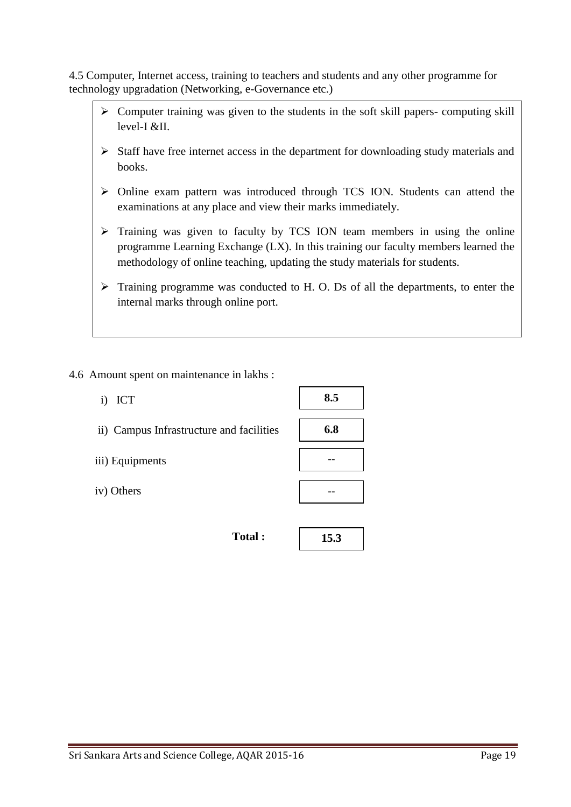4.5 Computer, Internet access, training to teachers and students and any other programme for technology upgradation (Networking, e-Governance etc.)

- $\triangleright$  Computer training was given to the students in the soft skill papers- computing skill level-I &II.
- $\triangleright$  Staff have free internet access in the department for downloading study materials and books.
- Online exam pattern was introduced through TCS ION. Students can attend the examinations at any place and view their marks immediately.
- $\triangleright$  Training was given to faculty by TCS ION team members in using the online programme Learning Exchange (LX). In this training our faculty members learned the methodology of online teaching, updating the study materials for students.
- $\triangleright$  Training programme was conducted to H. O. Ds of all the departments, to enter the internal marks through online port.
- 4.6 Amount spent on maintenance in lakhs :
	- i) ICT
	- ii) Campus Infrastructure and facilities
	- iii) Equipments
	- iv) Others

**8.5 6.8 -- --**

**Total :** 

| ___ |
|-----|
|     |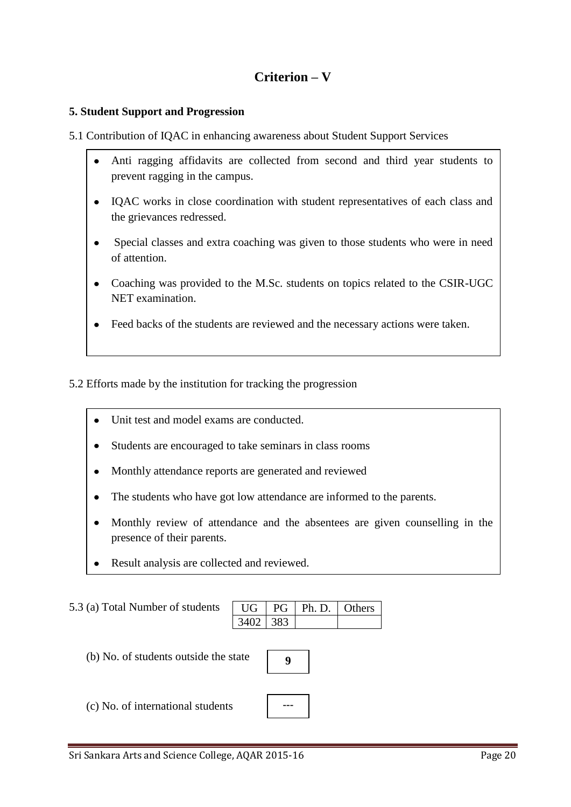# **Criterion – V**

#### **5. Student Support and Progression**

- 5.1 Contribution of IQAC in enhancing awareness about Student Support Services
	- Anti ragging affidavits are collected from second and third year students to prevent ragging in the campus.
	- IQAC works in close coordination with student representatives of each class and the grievances redressed.
	- $\bullet$ Special classes and extra coaching was given to those students who were in need of attention.
	- Coaching was provided to the M.Sc. students on topics related to the CSIR-UGC NET examination.
	- Feed backs of the students are reviewed and the necessary actions were taken.  $\bullet$
- 5.2 Efforts made by the institution for tracking the progression
	- Unit test and model exams are conducted.
	- Students are encouraged to take seminars in class rooms  $\bullet$
	- $\bullet$ Monthly attendance reports are generated and reviewed
	- $\bullet$ The students who have got low attendance are informed to the parents.
	- Monthly review of attendance and the absentees are given counselling in the  $\bullet$ presence of their parents.
	- Result analysis are collected and reviewed.

|  | PG т | Ph. D. | Others |
|--|------|--------|--------|
|  | -383 |        |        |

- (b) No. of students outside the state
- (c) No. of international students

| --- |
|-----|

**9**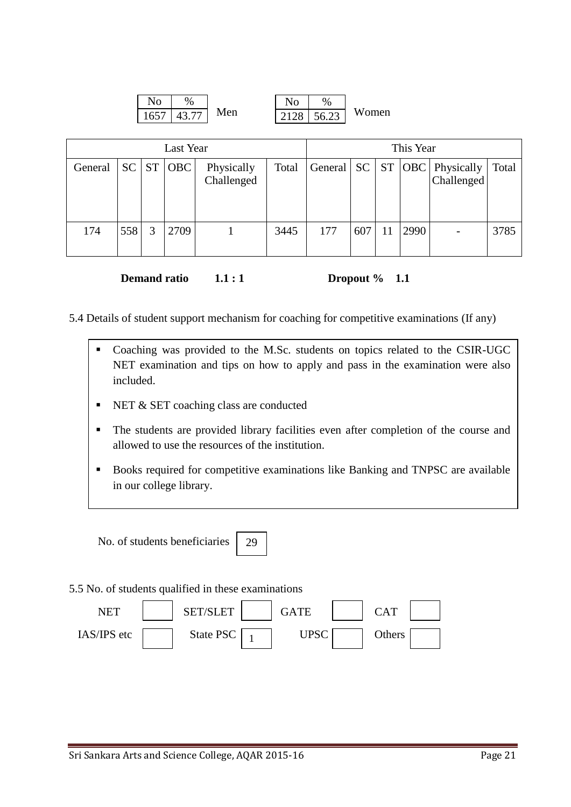|               | $\%$             |     |      | $\frac{0}{0}$ |       |
|---------------|------------------|-----|------|---------------|-------|
| $\epsilon$ 57 | 77<br>$\Delta$ 3 | Men | 2128 | 56.23<br>∪.∠J | Women |

| Last Year |           |           |            |                          |       |                         | This Year |    |      |                          |       |
|-----------|-----------|-----------|------------|--------------------------|-------|-------------------------|-----------|----|------|--------------------------|-------|
| General   | <b>SC</b> | <b>ST</b> | <b>OBC</b> | Physically<br>Challenged | Total | General   SC   ST   OBC |           |    |      | Physically<br>Challenged | Total |
| 174       | 558       | 3         | 2709       |                          | 3445  | 177                     | 607       | 11 | 2990 | $\overline{a}$           | 3785  |

**Demand ratio** 1.1 **:** 1 **Dropout %** 1.1

5.4 Details of student support mechanism for coaching for competitive examinations (If any)

- Coaching was provided to the M.Sc. students on topics related to the CSIR-UGC NET examination and tips on how to apply and pass in the examination were also included.
- $\blacksquare$  NET & SET coaching class are conducted
- The students are provided library facilities even after completion of the course and allowed to use the resources of the institution.
- Books required for competitive examinations like Banking and TNPSC are available in our college library.

No. of students beneficiaries

5.5 No. of students qualified in these examinations



29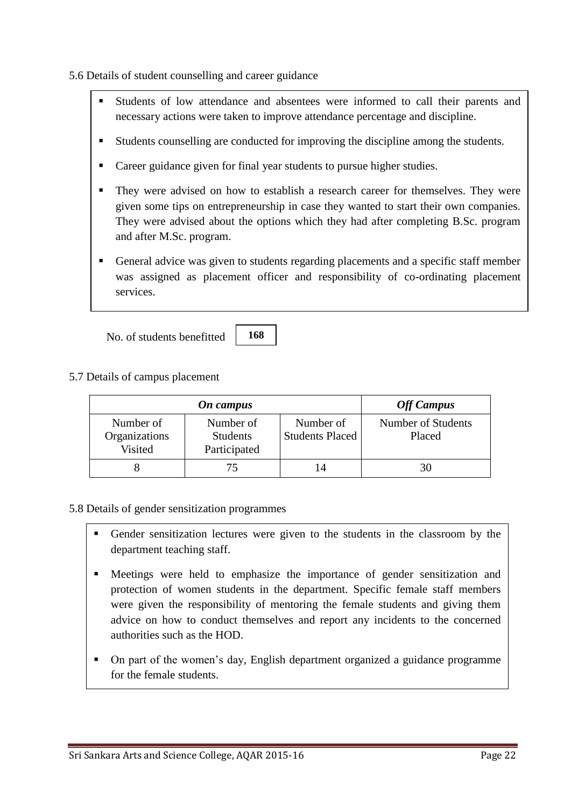5.6 Details of student counselling and career guidance

- Students of low attendance and absentees were informed to call their parents and necessary actions were taken to improve attendance percentage and discipline.
- Students counselling are conducted for improving the discipline among the students.
- Career guidance given for final year students to pursue higher studies.
- They were advised on how to establish a research career for themselves. They were given some tips on entrepreneurship in case they wanted to start their own companies. They were advised about the options which they had after completing B.Sc. program and after M.Sc. program.
- General advice was given to students regarding placements and a specific staff member was assigned as placement officer and responsibility of co-ordinating placement services.

No. of students benefitted



5.7 Details of campus placement

|                                       | <b>Off Campus</b>                            |                                     |                              |
|---------------------------------------|----------------------------------------------|-------------------------------------|------------------------------|
| Number of<br>Organizations<br>Visited | Number of<br><b>Students</b><br>Participated | Number of<br><b>Students Placed</b> | Number of Students<br>Placed |
|                                       |                                              |                                     | 30                           |

#### 5.8 Details of gender sensitization programmes

- Gender sensitization lectures were given to the students in the classroom by the department teaching staff.
- Meetings were held to emphasize the importance of gender sensitization and protection of women students in the department. Specific female staff members were given the responsibility of mentoring the female students and giving them advice on how to conduct themselves and report any incidents to the concerned authorities such as the HOD.
- On part of the women"s day, English department organized a guidance programme for the female students.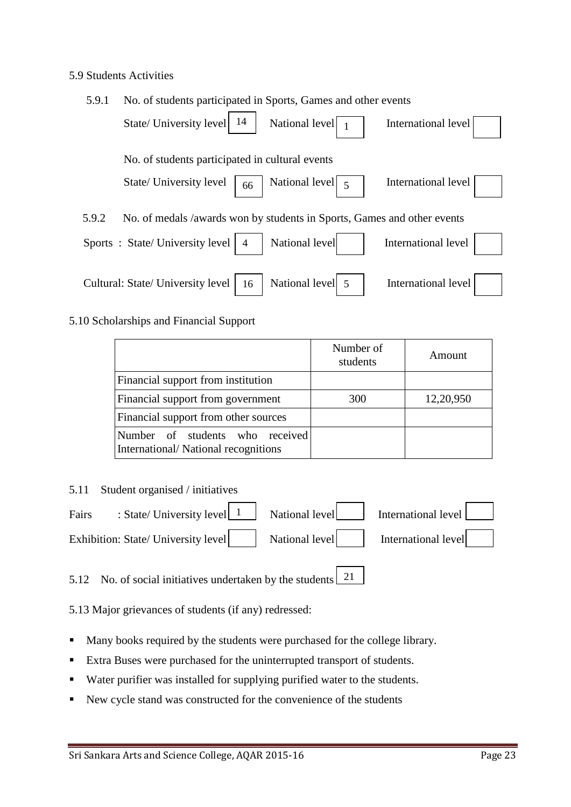#### 5.9 Students Activities

| 5.9.1 | No. of students participated in Sports, Games and other events                                           |
|-------|----------------------------------------------------------------------------------------------------------|
|       | State/ University level<br>14<br>National level<br>International level                                   |
|       | No. of students participated in cultural events                                                          |
|       | National level $\begin{bmatrix} 5 \end{bmatrix}$<br>International level<br>State/ University level<br>66 |
| 5.9.2 | No. of medals /awards won by students in Sports, Games and other events                                  |
|       | Sports: State/University level  <br>National level<br>International level<br>$\vert$ 4                   |
|       | National level 5<br>International level<br>Cultural: State/ University level<br>16                       |

#### 5.10 Scholarships and Financial Support

|                                                                        | Number of<br>students | Amount    |
|------------------------------------------------------------------------|-----------------------|-----------|
| Financial support from institution                                     |                       |           |
| Financial support from government                                      | 300                   | 12,20,950 |
| Financial support from other sources                                   |                       |           |
| Number of students who received<br>International/National recognitions |                       |           |

5.11 Student organised / initiatives



5.12 No. of social initiatives undertaken by the students 21

5.13 Major grievances of students (if any) redressed:

- Many books required by the students were purchased for the college library.
- Extra Buses were purchased for the uninterrupted transport of students.
- Water purifier was installed for supplying purified water to the students.
- New cycle stand was constructed for the convenience of the students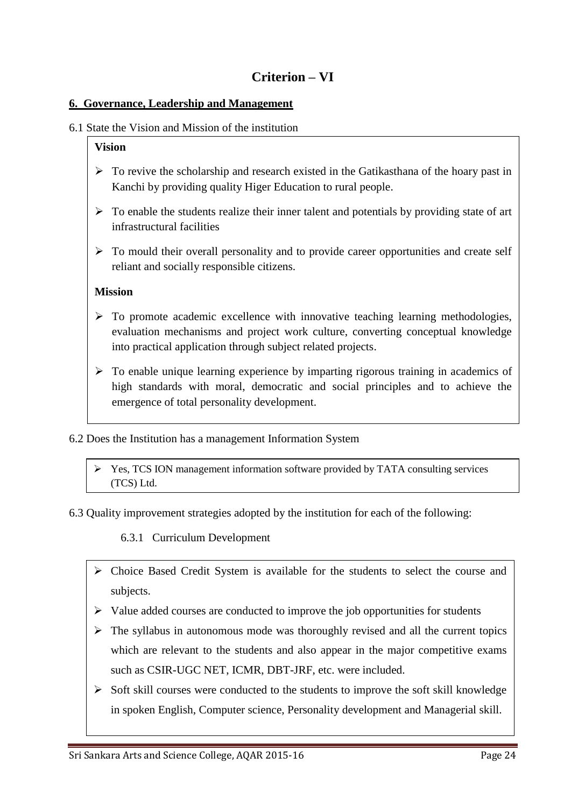#### **6. Governance, Leadership and Management**

#### 6.1 State the Vision and Mission of the institution

#### **Vision**

- $\triangleright$  To revive the scholarship and research existed in the Gatikasthana of the hoary past in Kanchi by providing quality Higer Education to rural people.
- $\triangleright$  To enable the students realize their inner talent and potentials by providing state of art infrastructural facilities
- $\triangleright$  To mould their overall personality and to provide career opportunities and create self reliant and socially responsible citizens.

#### **Mission**

- $\triangleright$  To promote academic excellence with innovative teaching learning methodologies, evaluation mechanisms and project work culture, converting conceptual knowledge into practical application through subject related projects.
- $\triangleright$  To enable unique learning experience by imparting rigorous training in academics of high standards with moral, democratic and social principles and to achieve the emergence of total personality development.
- 6.2 Does the Institution has a management Information System
	- Yes, TCS ION management information software provided by TATA consulting services (TCS) Ltd.
- 6.3 Quality improvement strategies adopted by the institution for each of the following:

6.3.1 Curriculum Development

- Choice Based Credit System is available for the students to select the course and subjects.
- $\triangleright$  Value added courses are conducted to improve the job opportunities for students
- $\triangleright$  The syllabus in autonomous mode was thoroughly revised and all the current topics which are relevant to the students and also appear in the major competitive exams such as CSIR-UGC NET, ICMR, DBT-JRF, etc. were included.
- $\triangleright$  Soft skill courses were conducted to the students to improve the soft skill knowledge in spoken English, Computer science, Personality development and Managerial skill.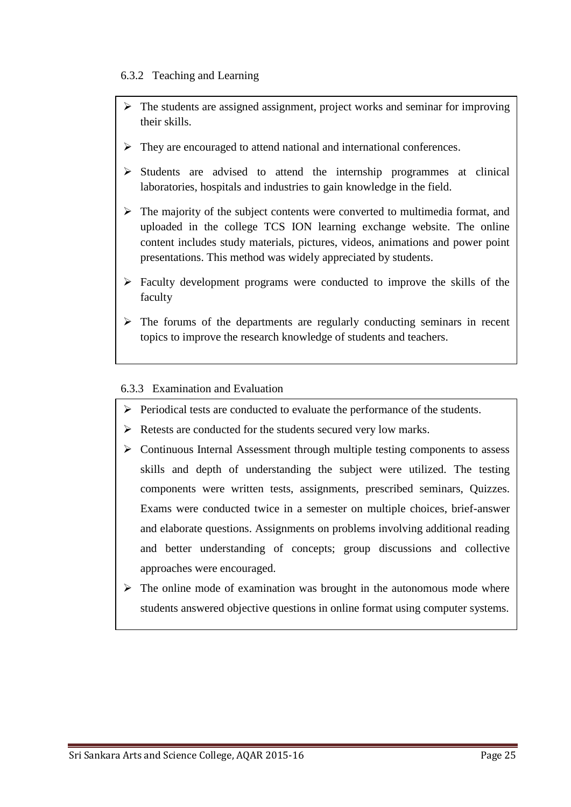#### 6.3.2 Teaching and Learning

- $\triangleright$  The students are assigned assignment, project works and seminar for improving their skills.
- > They are encouraged to attend national and international conferences.
- $\triangleright$  Students are advised to attend the internship programmes at clinical laboratories, hospitals and industries to gain knowledge in the field.
- $\triangleright$  The majority of the subject contents were converted to multimedia format, and uploaded in the college TCS ION learning exchange website. The online content includes study materials, pictures, videos, animations and power point presentations. This method was widely appreciated by students.
- $\triangleright$  Faculty development programs were conducted to improve the skills of the faculty
- $\triangleright$  The forums of the departments are regularly conducting seminars in recent topics to improve the research knowledge of students and teachers.

#### 6.3.3 Examination and Evaluation

- $\triangleright$  Periodical tests are conducted to evaluate the performance of the students.
- $\triangleright$  Retests are conducted for the students secured very low marks.
- $\triangleright$  Continuous Internal Assessment through multiple testing components to assess skills and depth of understanding the subject were utilized. The testing components were written tests, assignments, prescribed seminars, Quizzes. Exams were conducted twice in a semester on multiple choices, brief-answer and elaborate questions. Assignments on problems involving additional reading and better understanding of concepts; group discussions and collective approaches were encouraged.
- $\triangleright$  The online mode of examination was brought in the autonomous mode where students answered objective questions in online format using computer systems.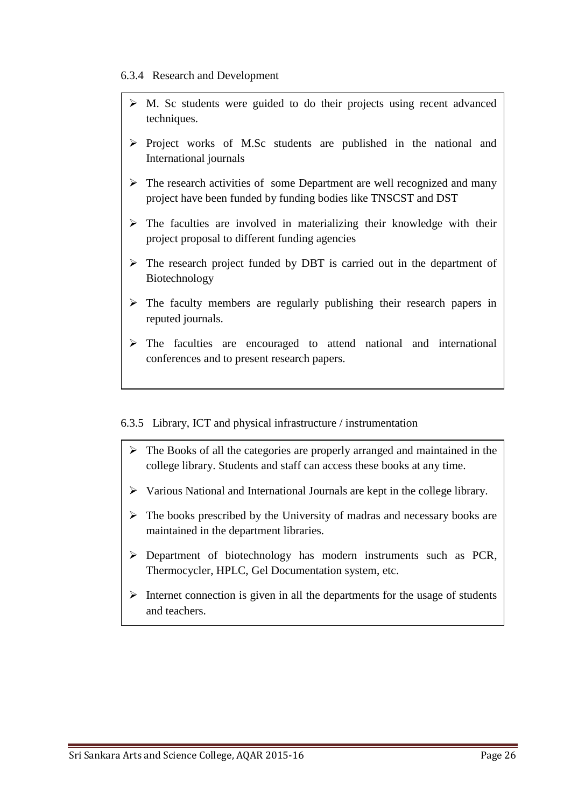#### 6.3.4 Research and Development

- $\triangleright$  M. Sc students were guided to do their projects using recent advanced techniques.
- $\triangleright$  Project works of M.Sc students are published in the national and International journals
- $\triangleright$  The research activities of some Department are well recognized and many project have been funded by funding bodies like TNSCST and DST
- $\triangleright$  The faculties are involved in materializing their knowledge with their project proposal to different funding agencies
- $\triangleright$  The research project funded by DBT is carried out in the department of Biotechnology
- $\triangleright$  The faculty members are regularly publishing their research papers in reputed journals.
- $\triangleright$  The faculties are encouraged to attend national and international conferences and to present research papers.

#### 6.3.5 Library, ICT and physical infrastructure / instrumentation

- $\triangleright$  The Books of all the categories are properly arranged and maintained in the college library. Students and staff can access these books at any time.
- Various National and International Journals are kept in the college library.
- $\triangleright$  The books prescribed by the University of madras and necessary books are maintained in the department libraries.
- Department of biotechnology has modern instruments such as PCR, Thermocycler, HPLC, Gel Documentation system, etc.
- $\triangleright$  Internet connection is given in all the departments for the usage of students and teachers.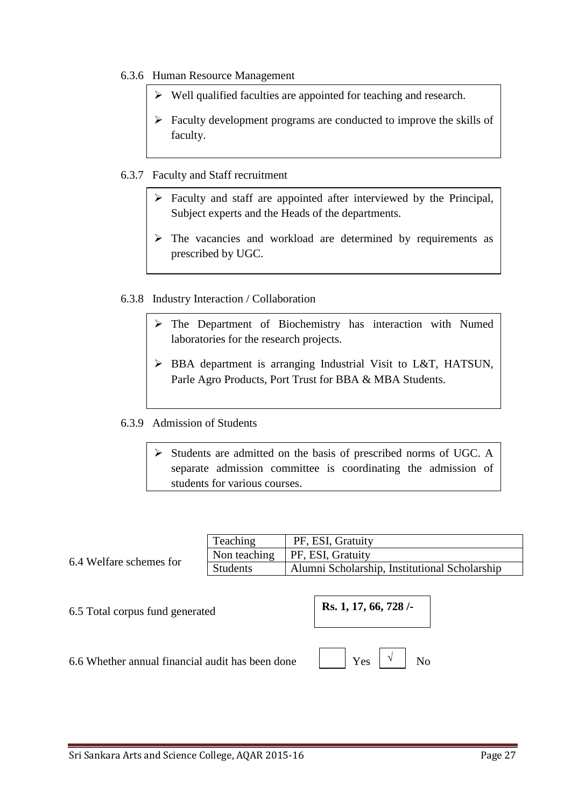#### 6.3.6 Human Resource Management

- $\triangleright$  Well qualified faculties are appointed for teaching and research.
- $\triangleright$  Faculty development programs are conducted to improve the skills of faculty.

#### 6.3.7 Faculty and Staff recruitment

- $\triangleright$  Faculty and staff are appointed after interviewed by the Principal, Subject experts and the Heads of the departments.
- $\triangleright$  The vacancies and workload are determined by requirements as prescribed by UGC.

#### 6.3.8 Industry Interaction / Collaboration

- $\triangleright$  The Department of Biochemistry has interaction with Numed laboratories for the research projects.
- BBA department is arranging Industrial Visit to L&T, HATSUN, Parle Agro Products, Port Trust for BBA & MBA Students.

#### 6.3.9 Admission of Students

 $\triangleright$  Students are admitted on the basis of prescribed norms of UGC. A separate admission committee is coordinating the admission of students for various courses.

|                         | Teaching        | PF, ESI, Gratuity                             |
|-------------------------|-----------------|-----------------------------------------------|
| 6.4 Welfare schemes for |                 | Non teaching   PF, ESI, Gratuity              |
|                         | <b>Students</b> | Alumni Scholarship, Institutional Scholarship |

```
6.5 Total corpus fund generated
```

| Rs. 1, 17, 66, 728/- |
|----------------------|
|                      |

6.6 Whether annual financial audit has been done  $\mathbf{Y}$   $\mathbf{y}$   $\mathbf{y}$   $\mathbf{y}$   $\mathbf{y}$   $\mathbf{y}$   $\mathbf{y}$   $\mathbf{y}$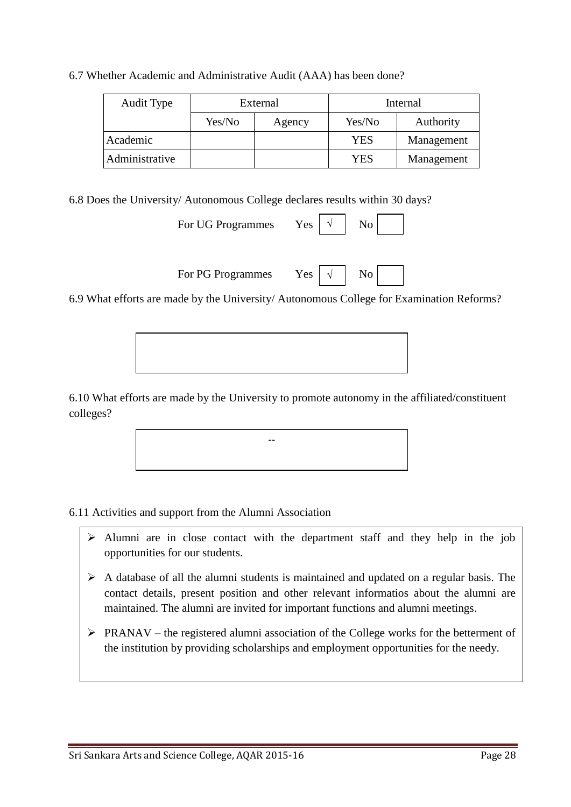| Audit Type     | External |        | Internal |            |
|----------------|----------|--------|----------|------------|
|                | Yes/No   | Agency | Yes/No   | Authority  |
| Academic       |          |        | YES      | Management |
| Administrative |          |        | YES      | Management |

6.7 Whether Academic and Administrative Audit (AAA) has been done?

6.8 Does the University/ Autonomous College declares results within 30 days?

| For UG Programmes Yes $\vert \vee \vert$ No $\vert$                                     |
|-----------------------------------------------------------------------------------------|
| For PG Programmes Yes $\vert \sqrt{\vert}$ No $\vert$                                   |
| 6.9 What efforts are made by the University/Autonomous College for Examination Reforms? |

6.10 What efforts are made by the University to promote autonomy in the affiliated/constituent colleges?

--

6.11 Activities and support from the Alumni Association

- $\triangleright$  Alumni are in close contact with the department staff and they help in the job opportunities for our students.
- $\triangleright$  A database of all the alumni students is maintained and updated on a regular basis. The contact details, present position and other relevant informatios about the alumni are maintained. The alumni are invited for important functions and alumni meetings.
- $\triangleright$  PRANAV the registered alumni association of the College works for the betterment of the institution by providing scholarships and employment opportunities for the needy.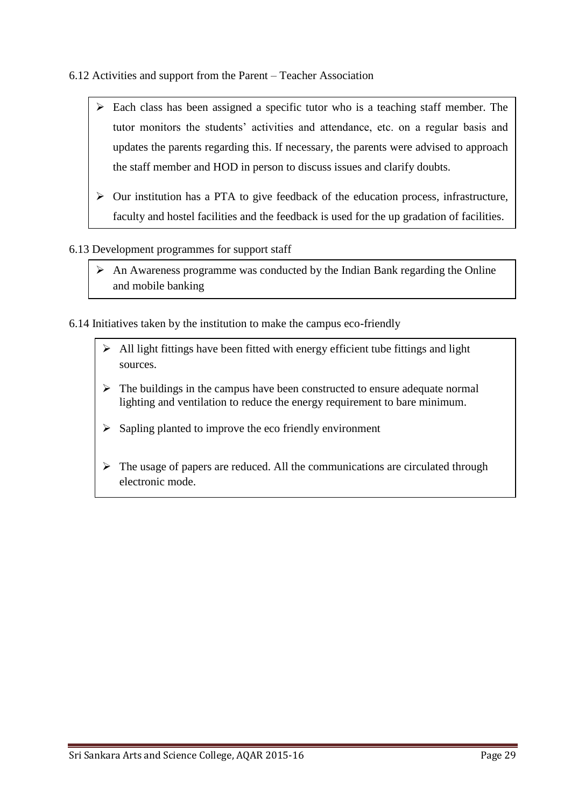- 6.12 Activities and support from the Parent Teacher Association
	- $\triangleright$  Each class has been assigned a specific tutor who is a teaching staff member. The tutor monitors the students" activities and attendance, etc. on a regular basis and updates the parents regarding this. If necessary, the parents were advised to approach the staff member and HOD in person to discuss issues and clarify doubts.
	- Our institution has a PTA to give feedback of the education process, infrastructure, faculty and hostel facilities and the feedback is used for the up gradation of facilities.

#### 6.13 Development programmes for support staff

- $\triangleright$  An Awareness programme was conducted by the Indian Bank regarding the Online and mobile banking
- 6.14 Initiatives taken by the institution to make the campus eco-friendly
	- $\triangleright$  All light fittings have been fitted with energy efficient tube fittings and light sources.
	- $\triangleright$  The buildings in the campus have been constructed to ensure adequate normal lighting and ventilation to reduce the energy requirement to bare minimum.
	- $\triangleright$  Sapling planted to improve the eco friendly environment
	- $\triangleright$  The usage of papers are reduced. All the communications are circulated through electronic mode.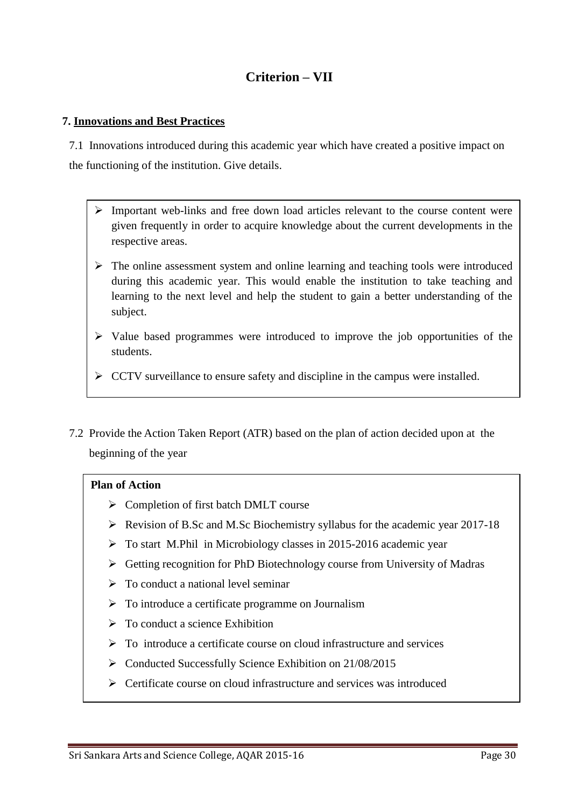# **Criterion – VII**

#### **7. Innovations and Best Practices**

7.1 Innovations introduced during this academic year which have created a positive impact on the functioning of the institution. Give details.

- $\triangleright$  Important web-links and free down load articles relevant to the course content were given frequently in order to acquire knowledge about the current developments in the respective areas.
- $\triangleright$  The online assessment system and online learning and teaching tools were introduced during this academic year. This would enable the institution to take teaching and learning to the next level and help the student to gain a better understanding of the subject.
- $\triangleright$  Value based programmes were introduced to improve the job opportunities of the students.
- $\triangleright$  CCTV surveillance to ensure safety and discipline in the campus were installed.
- 7.2 Provide the Action Taken Report (ATR) based on the plan of action decided upon at the beginning of the year

#### **Plan of Action**

- $\triangleright$  Completion of first batch DMLT course
- Revision of B.Sc and M.Sc Biochemistry syllabus for the academic year 2017-18
- $\triangleright$  To start M.Phil in Microbiology classes in 2015-2016 academic year
- $\triangleright$  Getting recognition for PhD Biotechnology course from University of Madras
- $\triangleright$  To conduct a national level seminar
- $\triangleright$  To introduce a certificate programme on Journalism
- $\triangleright$  To conduct a science Exhibition
- $\triangleright$  To introduce a certificate course on cloud infrastructure and services
- Conducted Successfully Science Exhibition on 21/08/2015
- $\triangleright$  Certificate course on cloud infrastructure and services was introduced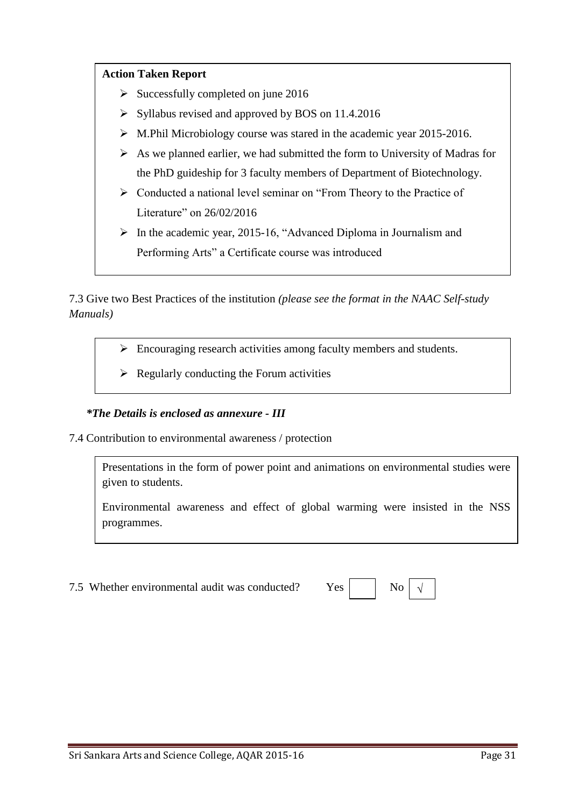#### **Action Taken Report**

- $\triangleright$  Successfully completed on june 2016
- $\triangleright$  Syllabus revised and approved by BOS on 11.4.2016
- M.Phil Microbiology course was stared in the academic year 2015-2016.
- $\triangleright$  As we planned earlier, we had submitted the form to University of Madras for the PhD guideship for 3 faculty members of Department of Biotechnology.
- $\triangleright$  Conducted a national level seminar on "From Theory to the Practice of Literature" on 26/02/2016
- $\triangleright$  In the academic year, 2015-16, "Advanced Diploma in Journalism and Performing Arts" a Certificate course was introduced

7.3 Give two Best Practices of the institution *(please see the format in the NAAC Self-study Manuals)*

- Encouraging research activities among faculty members and students.
- $\triangleright$  Regularly conducting the Forum activities

#### *\*The Details is enclosed as annexure - III*

7.4 Contribution to environmental awareness / protection

Presentations in the form of power point and animations on environmental studies were given to students.

Environmental awareness and effect of global warming were insisted in the NSS programmes.

7.5 Whether environmental audit was conducted?  $Yes$  | No

|--|--|--|

**√**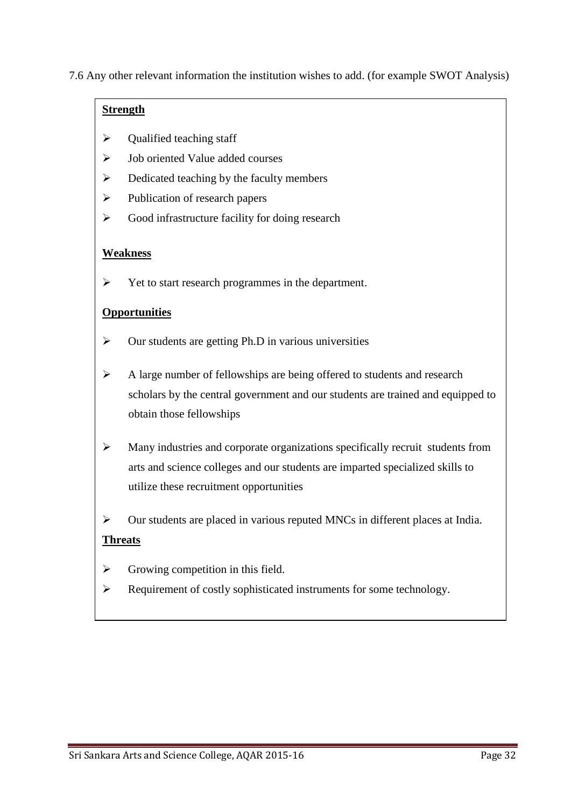7.6 Any other relevant information the institution wishes to add. (for example SWOT Analysis)

### **Strength**

- $\triangleright$  Qualified teaching staff
- $\triangleright$  Job oriented Value added courses
- $\triangleright$  Dedicated teaching by the faculty members
- $\triangleright$  Publication of research papers
- $\triangleright$  Good infrastructure facility for doing research

### **Weakness**

 $\triangleright$  Yet to start research programmes in the department.

### **Opportunities**

- $\triangleright$  Our students are getting Ph.D in various universities
- $\triangleright$  A large number of fellowships are being offered to students and research scholars by the central government and our students are trained and equipped to obtain those fellowships
- Many industries and corporate organizations specifically recruit students from arts and science colleges and our students are imparted specialized skills to utilize these recruitment opportunities

 $\triangleright$  Our students are placed in various reputed MNCs in different places at India. **Threats**

- $\triangleright$  Growing competition in this field.
- $\triangleright$  Requirement of costly sophisticated instruments for some technology.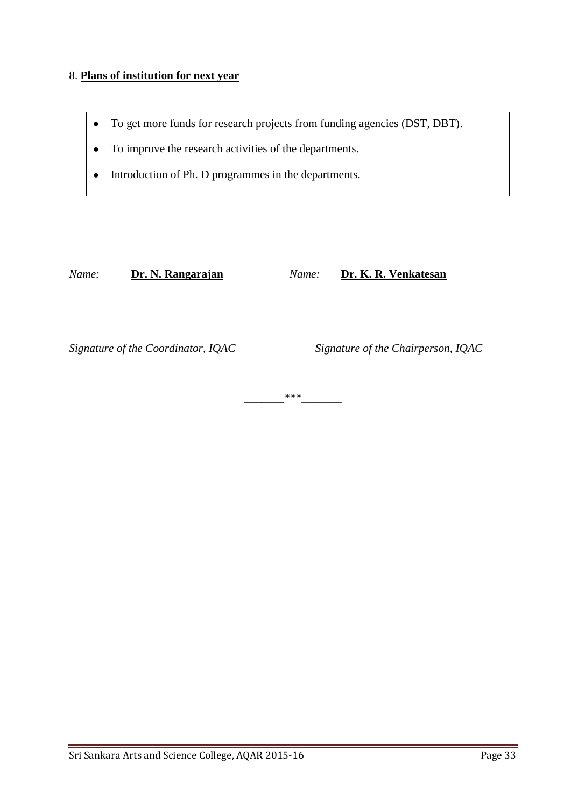#### 8. **Plans of institution for next year**

- To get more funds for research projects from funding agencies (DST, DBT).  $\bullet$
- To improve the research activities of the departments.
- Introduction of Ph. D programmes in the departments.

*Name:* **Dr. N. Rangarajan** *Name:* **Dr. K. R. Venkatesan**

*Signature of the Coordinator, IQAC Signature of the Chairperson, IQAC*

*\_\_\_\_\_\_\_\*\*\*\_\_\_\_\_\_\_*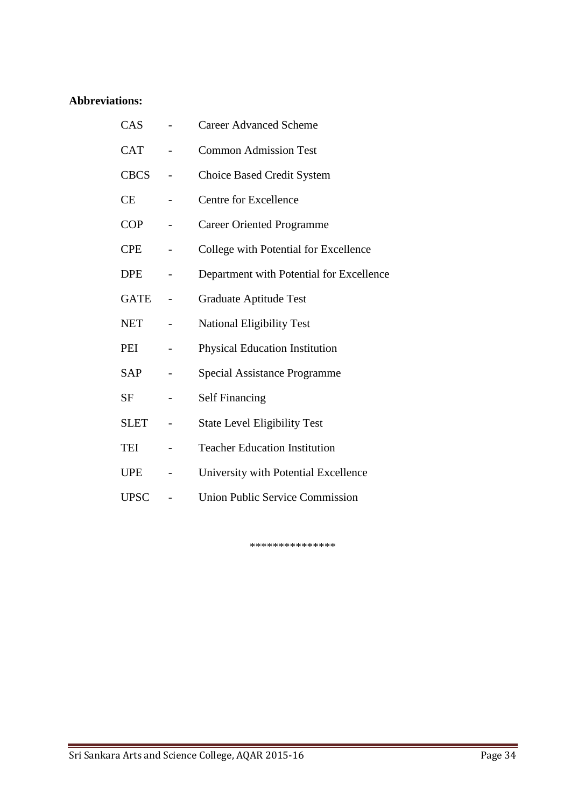### **Abbreviations:**

| CAS         | <b>Career Advanced Scheme</b>            |
|-------------|------------------------------------------|
| <b>CAT</b>  | <b>Common Admission Test</b>             |
| <b>CBCS</b> | <b>Choice Based Credit System</b>        |
| CE          | <b>Centre for Excellence</b>             |
| <b>COP</b>  | <b>Career Oriented Programme</b>         |
| <b>CPE</b>  | College with Potential for Excellence    |
| <b>DPE</b>  | Department with Potential for Excellence |
| <b>GATE</b> | Graduate Aptitude Test                   |
| <b>NET</b>  | <b>National Eligibility Test</b>         |
| PEI         | <b>Physical Education Institution</b>    |
| <b>SAP</b>  | <b>Special Assistance Programme</b>      |
| <b>SF</b>   | <b>Self Financing</b>                    |
| <b>SLET</b> | <b>State Level Eligibility Test</b>      |
| TEI         | <b>Teacher Education Institution</b>     |
| <b>UPE</b>  | University with Potential Excellence     |
| <b>UPSC</b> | <b>Union Public Service Commission</b>   |

\*\*\*\*\*\*\*\*\*\*\*\*\*\*\*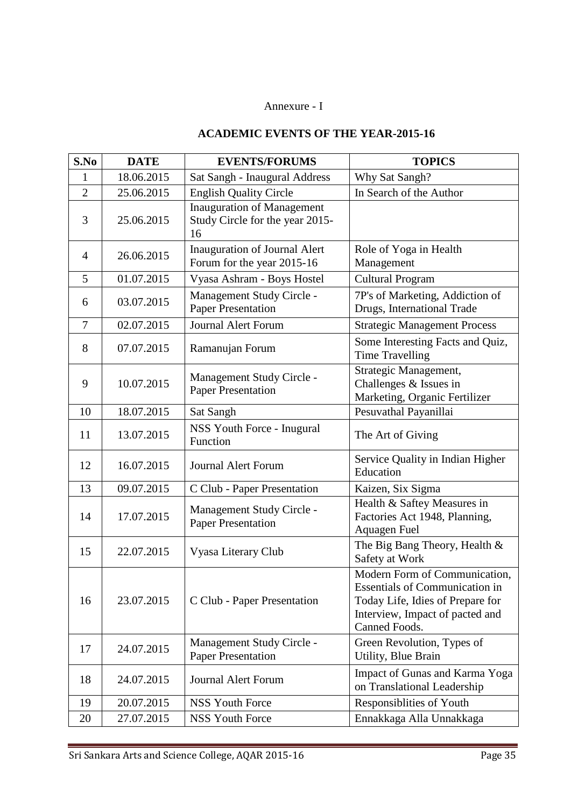### Annexure - I

### **ACADEMIC EVENTS OF THE YEAR-2015-16**

| S.No           | <b>DATE</b> | <b>EVENTS/FORUMS</b>                                                       | <b>TOPICS</b>                                                                                                                                                  |
|----------------|-------------|----------------------------------------------------------------------------|----------------------------------------------------------------------------------------------------------------------------------------------------------------|
| 1              | 18.06.2015  | Sat Sangh - Inaugural Address                                              | Why Sat Sangh?                                                                                                                                                 |
| $\overline{2}$ | 25.06.2015  | <b>English Quality Circle</b>                                              | In Search of the Author                                                                                                                                        |
| 3              | 25.06.2015  | <b>Inauguration of Management</b><br>Study Circle for the year 2015-<br>16 |                                                                                                                                                                |
| $\overline{4}$ | 26.06.2015  | <b>Inauguration of Journal Alert</b><br>Forum for the year 2015-16         | Role of Yoga in Health<br>Management                                                                                                                           |
| 5              | 01.07.2015  | Vyasa Ashram - Boys Hostel                                                 | <b>Cultural Program</b>                                                                                                                                        |
| 6              | 03.07.2015  | Management Study Circle -<br><b>Paper Presentation</b>                     | 7P's of Marketing, Addiction of<br>Drugs, International Trade                                                                                                  |
| $\overline{7}$ | 02.07.2015  | <b>Journal Alert Forum</b>                                                 | <b>Strategic Management Process</b>                                                                                                                            |
| 8              | 07.07.2015  | Ramanujan Forum                                                            | Some Interesting Facts and Quiz,<br><b>Time Travelling</b>                                                                                                     |
| 9              | 10.07.2015  | Management Study Circle -<br><b>Paper Presentation</b>                     | Strategic Management,<br>Challenges & Issues in<br>Marketing, Organic Fertilizer                                                                               |
| 10             | 18.07.2015  | Sat Sangh                                                                  | Pesuvathal Payanillai                                                                                                                                          |
| 11             | 13.07.2015  | NSS Youth Force - Inugural<br>Function                                     | The Art of Giving                                                                                                                                              |
| 12             | 16.07.2015  | <b>Journal Alert Forum</b>                                                 | Service Quality in Indian Higher<br>Education                                                                                                                  |
| 13             | 09.07.2015  | C Club - Paper Presentation                                                | Kaizen, Six Sigma                                                                                                                                              |
| 14             | 17.07.2015  | Management Study Circle -<br><b>Paper Presentation</b>                     | Health & Saftey Measures in<br>Factories Act 1948, Planning,<br><b>Aquagen Fuel</b>                                                                            |
| 15             | 22.07.2015  | Vyasa Literary Club                                                        | The Big Bang Theory, Health &<br>Safety at Work                                                                                                                |
| 16             | 23.07.2015  | C Club - Paper Presentation                                                | Modern Form of Communication,<br><b>Essentials of Communication in</b><br>Today Life, Idies of Prepare for<br>Interview, Impact of pacted and<br>Canned Foods. |
| 17             | 24.07.2015  | Management Study Circle -<br><b>Paper Presentation</b>                     | Green Revolution, Types of<br>Utility, Blue Brain                                                                                                              |
| 18             | 24.07.2015  | <b>Journal Alert Forum</b>                                                 | Impact of Gunas and Karma Yoga<br>on Translational Leadership                                                                                                  |
| 19             | 20.07.2015  | <b>NSS Youth Force</b>                                                     | Responsiblities of Youth                                                                                                                                       |
| 20             | 27.07.2015  | <b>NSS Youth Force</b>                                                     | Ennakkaga Alla Unnakkaga                                                                                                                                       |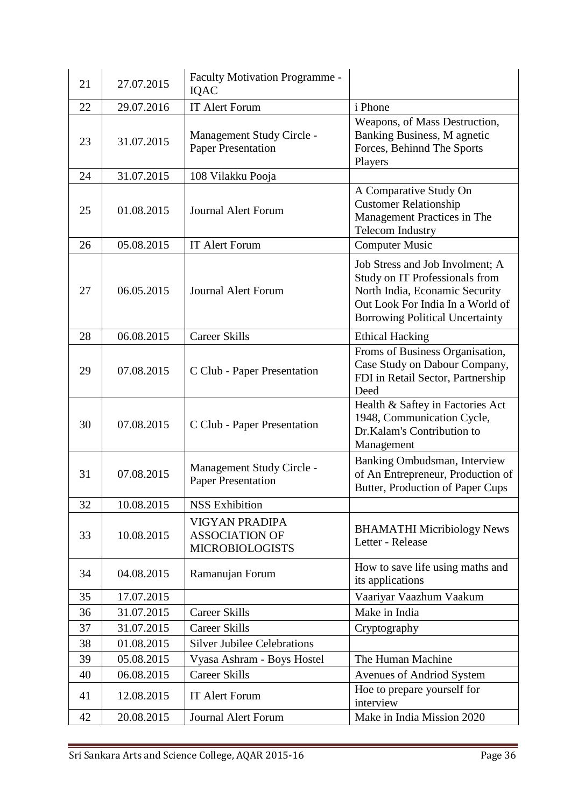| 21 | 27.07.2015 | Faculty Motivation Programme -<br><b>IQAC</b>                            |                                                                                                                                                                                   |
|----|------------|--------------------------------------------------------------------------|-----------------------------------------------------------------------------------------------------------------------------------------------------------------------------------|
| 22 | 29.07.2016 | IT Alert Forum                                                           | i Phone                                                                                                                                                                           |
| 23 | 31.07.2015 | Management Study Circle -<br><b>Paper Presentation</b>                   | Weapons, of Mass Destruction,<br>Banking Business, M agnetic<br>Forces, Behinnd The Sports<br>Players                                                                             |
| 24 | 31.07.2015 | 108 Vilakku Pooja                                                        |                                                                                                                                                                                   |
| 25 | 01.08.2015 | <b>Journal Alert Forum</b>                                               | A Comparative Study On<br><b>Customer Relationship</b><br>Management Practices in The<br><b>Telecom Industry</b>                                                                  |
| 26 | 05.08.2015 | IT Alert Forum                                                           | <b>Computer Music</b>                                                                                                                                                             |
| 27 | 06.05.2015 | <b>Journal Alert Forum</b>                                               | Job Stress and Job Involment; A<br>Study on IT Professionals from<br>North India, Econamic Security<br>Out Look For India In a World of<br><b>Borrowing Political Uncertainty</b> |
| 28 | 06.08.2015 | <b>Career Skills</b>                                                     | <b>Ethical Hacking</b>                                                                                                                                                            |
| 29 | 07.08.2015 | C Club - Paper Presentation                                              | Froms of Business Organisation,<br>Case Study on Dabour Company,<br>FDI in Retail Sector, Partnership<br>Deed                                                                     |
| 30 | 07.08.2015 | C Club - Paper Presentation                                              | Health & Saftey in Factories Act<br>1948, Communication Cycle,<br>Dr.Kalam's Contribution to<br>Management                                                                        |
| 31 | 07.08.2015 | Management Study Circle -<br><b>Paper Presentation</b>                   | Banking Ombudsman, Interview<br>of An Entrepreneur, Production of<br>Butter, Production of Paper Cups                                                                             |
| 32 | 10.08.2015 | <b>NSS Exhibition</b>                                                    |                                                                                                                                                                                   |
| 33 | 10.08.2015 | <b>VIGYAN PRADIPA</b><br><b>ASSOCIATION OF</b><br><b>MICROBIOLOGISTS</b> | <b>BHAMATHI Micribiology News</b><br>Letter - Release                                                                                                                             |
| 34 | 04.08.2015 | Ramanujan Forum                                                          | How to save life using maths and<br>its applications                                                                                                                              |
| 35 | 17.07.2015 |                                                                          | Vaariyar Vaazhum Vaakum                                                                                                                                                           |
| 36 | 31.07.2015 | <b>Career Skills</b>                                                     | Make in India                                                                                                                                                                     |
| 37 | 31.07.2015 | <b>Career Skills</b>                                                     | Cryptography                                                                                                                                                                      |
| 38 | 01.08.2015 | <b>Silver Jubilee Celebrations</b>                                       |                                                                                                                                                                                   |
| 39 | 05.08.2015 | Vyasa Ashram - Boys Hostel                                               | The Human Machine                                                                                                                                                                 |
| 40 | 06.08.2015 | <b>Career Skills</b>                                                     | Avenues of Andriod System                                                                                                                                                         |
| 41 | 12.08.2015 | IT Alert Forum                                                           | Hoe to prepare yourself for<br>interview                                                                                                                                          |
| 42 | 20.08.2015 | <b>Journal Alert Forum</b>                                               | Make in India Mission 2020                                                                                                                                                        |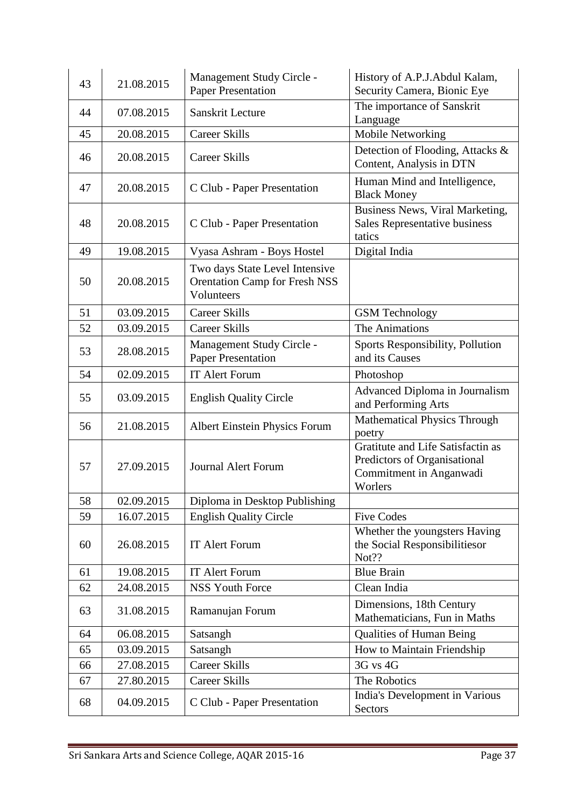| 43 | 21.08.2015 | Management Study Circle -<br><b>Paper Presentation</b>                               | History of A.P.J. Abdul Kalam,<br>Security Camera, Bionic Eye                                           |
|----|------------|--------------------------------------------------------------------------------------|---------------------------------------------------------------------------------------------------------|
| 44 | 07.08.2015 | Sanskrit Lecture                                                                     | The importance of Sanskrit<br>Language                                                                  |
| 45 | 20.08.2015 | <b>Career Skills</b>                                                                 | Mobile Networking                                                                                       |
| 46 | 20.08.2015 | <b>Career Skills</b>                                                                 | Detection of Flooding, Attacks &<br>Content, Analysis in DTN                                            |
| 47 | 20.08.2015 | C Club - Paper Presentation                                                          | Human Mind and Intelligence,<br><b>Black Money</b>                                                      |
| 48 | 20.08.2015 | C Club - Paper Presentation                                                          | Business News, Viral Marketing,<br>Sales Representative business<br>tatics                              |
| 49 | 19.08.2015 | Vyasa Ashram - Boys Hostel                                                           | Digital India                                                                                           |
| 50 | 20.08.2015 | Two days State Level Intensive<br><b>Orentation Camp for Fresh NSS</b><br>Volunteers |                                                                                                         |
| 51 | 03.09.2015 | <b>Career Skills</b>                                                                 | <b>GSM</b> Technology                                                                                   |
| 52 | 03.09.2015 | <b>Career Skills</b>                                                                 | The Animations                                                                                          |
| 53 | 28.08.2015 | Management Study Circle -<br><b>Paper Presentation</b>                               | Sports Responsibility, Pollution<br>and its Causes                                                      |
| 54 | 02.09.2015 | IT Alert Forum                                                                       | Photoshop                                                                                               |
| 55 | 03.09.2015 | <b>English Quality Circle</b>                                                        | Advanced Diploma in Journalism<br>and Performing Arts                                                   |
| 56 | 21.08.2015 | Albert Einstein Physics Forum                                                        | <b>Mathematical Physics Through</b><br>poetry                                                           |
| 57 | 27.09.2015 | <b>Journal Alert Forum</b>                                                           | Gratitute and Life Satisfactin as<br>Predictors of Organisational<br>Commitment in Anganwadi<br>Worlers |
| 58 | 02.09.2015 | Diploma in Desktop Publishing                                                        |                                                                                                         |
| 59 | 16.07.2015 | <b>English Quality Circle</b>                                                        | <b>Five Codes</b>                                                                                       |
| 60 | 26.08.2015 | IT Alert Forum                                                                       | Whether the youngsters Having<br>the Social Responsibilitiesor<br>Not??                                 |
| 61 | 19.08.2015 | IT Alert Forum                                                                       | <b>Blue Brain</b>                                                                                       |
| 62 | 24.08.2015 | <b>NSS Youth Force</b>                                                               | Clean India                                                                                             |
| 63 | 31.08.2015 | Ramanujan Forum                                                                      | Dimensions, 18th Century<br>Mathematicians, Fun in Maths                                                |
| 64 | 06.08.2015 | Satsangh                                                                             | <b>Qualities of Human Being</b>                                                                         |
| 65 | 03.09.2015 | Satsangh                                                                             | How to Maintain Friendship                                                                              |
| 66 | 27.08.2015 | <b>Career Skills</b>                                                                 | 3G vs 4G                                                                                                |
| 67 | 27.80.2015 | <b>Career Skills</b>                                                                 | The Robotics                                                                                            |
| 68 | 04.09.2015 | C Club - Paper Presentation                                                          | India's Development in Various<br>Sectors                                                               |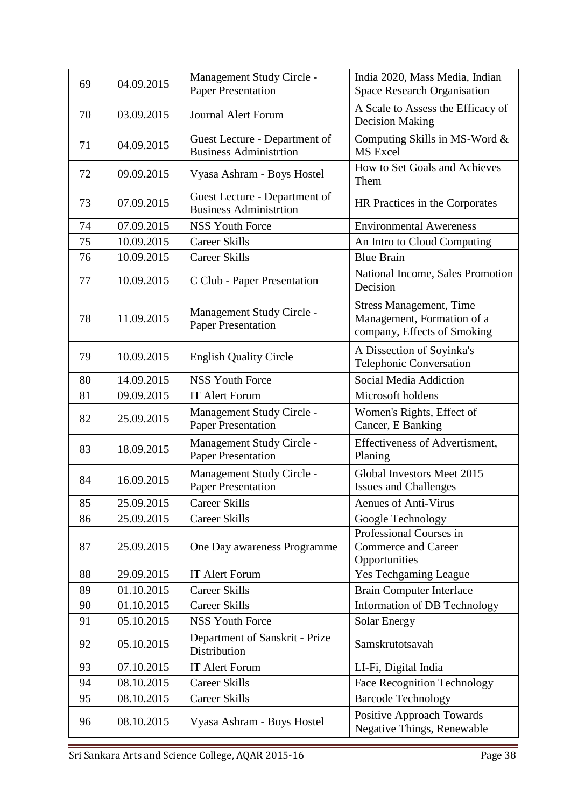| 69 | 04.09.2015 | Management Study Circle -<br><b>Paper Presentation</b>         | India 2020, Mass Media, Indian<br><b>Space Research Organisation</b>                        |
|----|------------|----------------------------------------------------------------|---------------------------------------------------------------------------------------------|
| 70 | 03.09.2015 | <b>Journal Alert Forum</b>                                     | A Scale to Assess the Efficacy of<br><b>Decision Making</b>                                 |
| 71 | 04.09.2015 | Guest Lecture - Department of<br><b>Business Administrtion</b> | Computing Skills in MS-Word &<br><b>MS</b> Excel                                            |
| 72 | 09.09.2015 | Vyasa Ashram - Boys Hostel                                     | How to Set Goals and Achieves<br>Them                                                       |
| 73 | 07.09.2015 | Guest Lecture - Department of<br><b>Business Administrtion</b> | HR Practices in the Corporates                                                              |
| 74 | 07.09.2015 | <b>NSS Youth Force</b>                                         | <b>Environmental Awereness</b>                                                              |
| 75 | 10.09.2015 | <b>Career Skills</b>                                           | An Intro to Cloud Computing                                                                 |
| 76 | 10.09.2015 | <b>Career Skills</b>                                           | <b>Blue Brain</b>                                                                           |
| 77 | 10.09.2015 | C Club - Paper Presentation                                    | National Income, Sales Promotion<br>Decision                                                |
| 78 | 11.09.2015 | Management Study Circle -<br><b>Paper Presentation</b>         | <b>Stress Management, Time</b><br>Management, Formation of a<br>company, Effects of Smoking |
| 79 | 10.09.2015 | <b>English Quality Circle</b>                                  | A Dissection of Soyinka's<br><b>Telephonic Conversation</b>                                 |
| 80 | 14.09.2015 | <b>NSS Youth Force</b>                                         | Social Media Addiction                                                                      |
| 81 | 09.09.2015 | IT Alert Forum                                                 | Microsoft holdens                                                                           |
| 82 | 25.09.2015 | Management Study Circle -<br><b>Paper Presentation</b>         | Women's Rights, Effect of<br>Cancer, E Banking                                              |
| 83 | 18.09.2015 | Management Study Circle -<br><b>Paper Presentation</b>         | Effectiveness of Advertisment,<br>Planing                                                   |
| 84 | 16.09.2015 | Management Study Circle -<br><b>Paper Presentation</b>         | Global Investors Meet 2015<br><b>Issues and Challenges</b>                                  |
| 85 | 25.09.2015 | <b>Career Skills</b>                                           | <b>Aenues of Anti-Virus</b>                                                                 |
| 86 | 25.09.2015 | <b>Career Skills</b>                                           | Google Technology                                                                           |
| 87 | 25.09.2015 | One Day awareness Programme                                    | Professional Courses in<br><b>Commerce and Career</b><br>Opportunities                      |
| 88 | 29.09.2015 | IT Alert Forum                                                 | <b>Yes Techgaming League</b>                                                                |
| 89 | 01.10.2015 | <b>Career Skills</b>                                           | <b>Brain Computer Interface</b>                                                             |
| 90 | 01.10.2015 | <b>Career Skills</b>                                           | Information of DB Technology                                                                |
| 91 | 05.10.2015 | <b>NSS Youth Force</b>                                         | <b>Solar Energy</b>                                                                         |
| 92 | 05.10.2015 | Department of Sanskrit - Prize<br>Distribution                 | Samskrutotsavah                                                                             |
| 93 | 07.10.2015 | IT Alert Forum                                                 | LI-Fi, Digital India                                                                        |
| 94 | 08.10.2015 | <b>Career Skills</b>                                           | <b>Face Recognition Technology</b>                                                          |
| 95 | 08.10.2015 | <b>Career Skills</b>                                           | <b>Barcode Technology</b>                                                                   |
| 96 | 08.10.2015 | Vyasa Ashram - Boys Hostel                                     | Positive Approach Towards<br>Negative Things, Renewable                                     |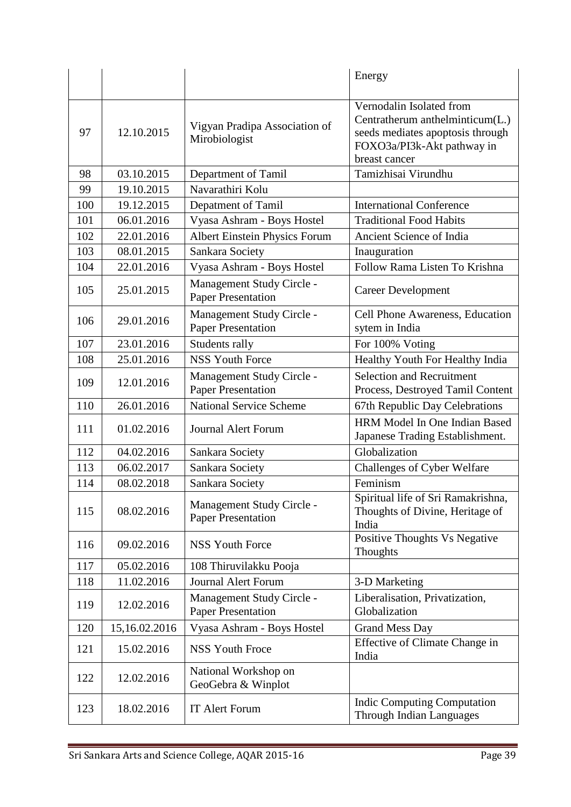|     |               |                                                        | Energy                                                                         |
|-----|---------------|--------------------------------------------------------|--------------------------------------------------------------------------------|
|     |               |                                                        |                                                                                |
|     |               |                                                        | Vernodalin Isolated from<br>Centratherum anthelminticum(L.)                    |
| 97  | 12.10.2015    | Vigyan Pradipa Association of                          | seeds mediates apoptosis through                                               |
|     |               | Mirobiologist                                          | FOXO3a/PI3k-Akt pathway in                                                     |
|     |               |                                                        | breast cancer                                                                  |
| 98  | 03.10.2015    | Department of Tamil                                    | Tamizhisai Virundhu                                                            |
| 99  | 19.10.2015    | Navarathiri Kolu                                       |                                                                                |
| 100 | 19.12.2015    | Depatment of Tamil                                     | <b>International Conference</b>                                                |
| 101 | 06.01.2016    | Vyasa Ashram - Boys Hostel                             | <b>Traditional Food Habits</b>                                                 |
| 102 | 22.01.2016    | Albert Einstein Physics Forum                          | Ancient Science of India                                                       |
| 103 | 08.01.2015    | Sankara Society                                        | Inauguration                                                                   |
| 104 | 22.01.2016    | Vyasa Ashram - Boys Hostel                             | Follow Rama Listen To Krishna                                                  |
| 105 | 25.01.2015    | Management Study Circle -<br><b>Paper Presentation</b> | <b>Career Development</b>                                                      |
| 106 | 29.01.2016    | Management Study Circle -<br><b>Paper Presentation</b> | Cell Phone Awareness, Education<br>sytem in India                              |
| 107 | 23.01.2016    | Students rally                                         | For 100% Voting                                                                |
| 108 | 25.01.2016    | <b>NSS Youth Force</b>                                 | Healthy Youth For Healthy India                                                |
| 109 | 12.01.2016    | Management Study Circle -<br><b>Paper Presentation</b> | <b>Selection and Recruitment</b><br>Process, Destroyed Tamil Content           |
| 110 | 26.01.2016    | <b>National Service Scheme</b>                         | 67th Republic Day Celebrations                                                 |
| 111 | 01.02.2016    | <b>Journal Alert Forum</b>                             | HRM Model In One Indian Based<br>Japanese Trading Establishment.               |
| 112 | 04.02.2016    | Sankara Society                                        | Globalization                                                                  |
| 113 | 06.02.2017    | Sankara Society                                        | Challenges of Cyber Welfare                                                    |
| 114 | 08.02.2018    | Sankara Society                                        | Feminism                                                                       |
| 115 | 08.02.2016    | Management Study Circle -<br><b>Paper Presentation</b> | Spiritual life of Sri Ramakrishna,<br>Thoughts of Divine, Heritage of<br>India |
| 116 | 09.02.2016    | <b>NSS Youth Force</b>                                 | Positive Thoughts Vs Negative<br>Thoughts                                      |
| 117 | 05.02.2016    | 108 Thiruvilakku Pooja                                 |                                                                                |
| 118 | 11.02.2016    | <b>Journal Alert Forum</b>                             | 3-D Marketing                                                                  |
| 119 | 12.02.2016    | Management Study Circle -<br><b>Paper Presentation</b> | Liberalisation, Privatization,<br>Globalization                                |
| 120 | 15,16.02.2016 | Vyasa Ashram - Boys Hostel                             | <b>Grand Mess Day</b>                                                          |
| 121 | 15.02.2016    | <b>NSS Youth Froce</b>                                 | Effective of Climate Change in<br>India                                        |
| 122 | 12.02.2016    | National Workshop on<br>GeoGebra & Winplot             |                                                                                |
| 123 | 18.02.2016    | IT Alert Forum                                         | <b>Indic Computing Computation</b><br>Through Indian Languages                 |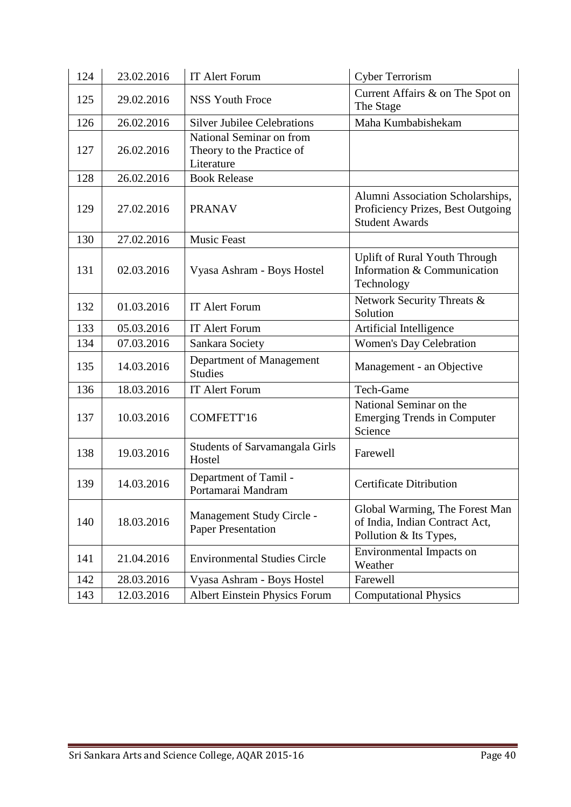| 124 | 23.02.2016 | IT Alert Forum                                                      | <b>Cyber Terrorism</b>                                                                         |
|-----|------------|---------------------------------------------------------------------|------------------------------------------------------------------------------------------------|
| 125 | 29.02.2016 | <b>NSS Youth Froce</b>                                              | Current Affairs & on The Spot on<br>The Stage                                                  |
| 126 | 26.02.2016 | <b>Silver Jubilee Celebrations</b>                                  | Maha Kumbabishekam                                                                             |
| 127 | 26.02.2016 | National Seminar on from<br>Theory to the Practice of<br>Literature |                                                                                                |
| 128 | 26.02.2016 | <b>Book Release</b>                                                 |                                                                                                |
| 129 | 27.02.2016 | <b>PRANAV</b>                                                       | Alumni Association Scholarships,<br>Proficiency Prizes, Best Outgoing<br><b>Student Awards</b> |
| 130 | 27.02.2016 | <b>Music Feast</b>                                                  |                                                                                                |
| 131 | 02.03.2016 | Vyasa Ashram - Boys Hostel                                          | <b>Uplift of Rural Youth Through</b><br>Information & Communication<br>Technology              |
| 132 | 01.03.2016 | <b>IT Alert Forum</b>                                               | Network Security Threats &<br>Solution                                                         |
| 133 | 05.03.2016 | IT Alert Forum                                                      | Artificial Intelligence                                                                        |
| 134 | 07.03.2016 | Sankara Society                                                     | <b>Women's Day Celebration</b>                                                                 |
| 135 | 14.03.2016 | Department of Management<br><b>Studies</b>                          | Management - an Objective                                                                      |
| 136 | 18.03.2016 | IT Alert Forum                                                      | Tech-Game                                                                                      |
| 137 | 10.03.2016 | COMFETT'16                                                          | National Seminar on the<br><b>Emerging Trends in Computer</b><br>Science                       |
| 138 | 19.03.2016 | <b>Students of Sarvamangala Girls</b><br>Hostel                     | Farewell                                                                                       |
| 139 | 14.03.2016 | Department of Tamil -<br>Portamarai Mandram                         | <b>Certificate Ditribution</b>                                                                 |
| 140 | 18.03.2016 | Management Study Circle -<br><b>Paper Presentation</b>              | Global Warming, The Forest Man<br>of India, Indian Contract Act,<br>Pollution & Its Types,     |
| 141 | 21.04.2016 | <b>Environmental Studies Circle</b>                                 | Environmental Impacts on<br>Weather                                                            |
| 142 | 28.03.2016 | Vyasa Ashram - Boys Hostel                                          | Farewell                                                                                       |
| 143 | 12.03.2016 | Albert Einstein Physics Forum                                       | <b>Computational Physics</b>                                                                   |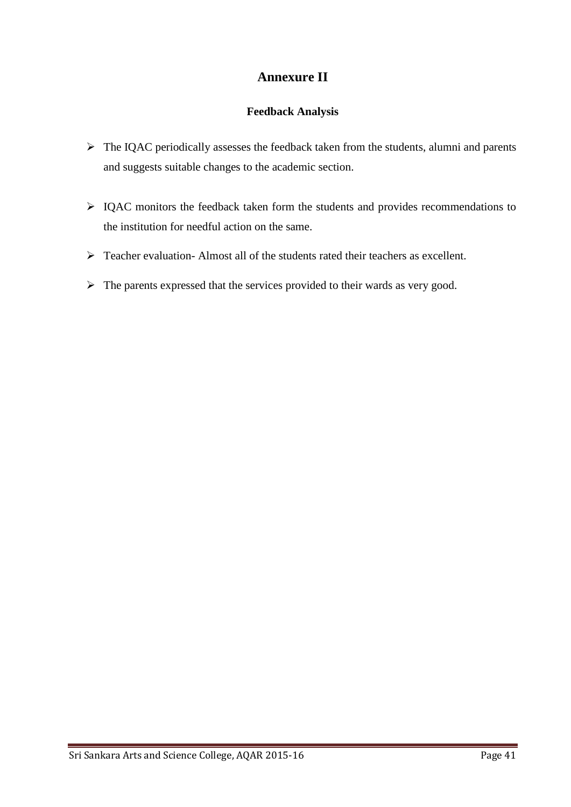# **Annexure II**

### **Feedback Analysis**

- $\triangleright$  The IQAC periodically assesses the feedback taken from the students, alumni and parents and suggests suitable changes to the academic section.
- $\triangleright$  IQAC monitors the feedback taken form the students and provides recommendations to the institution for needful action on the same.
- $\triangleright$  Teacher evaluation-Almost all of the students rated their teachers as excellent.
- $\triangleright$  The parents expressed that the services provided to their wards as very good.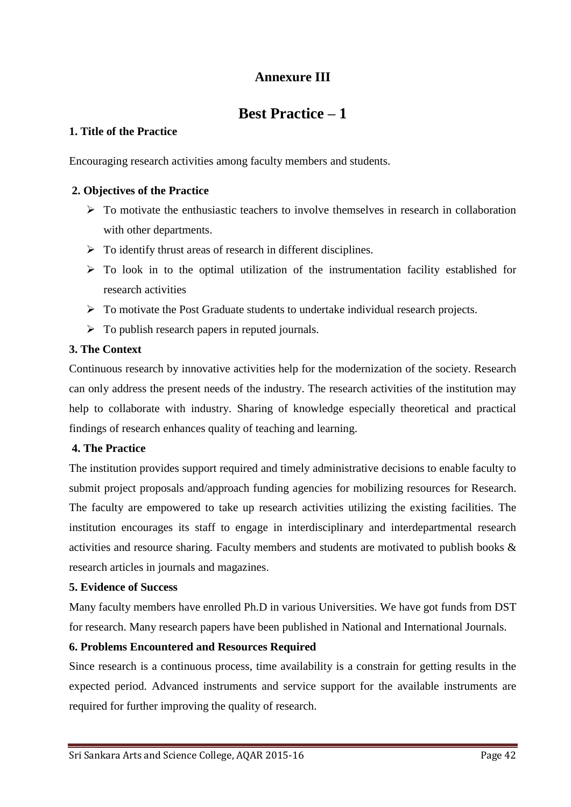## **Annexure III**

# **Best Practice – 1**

#### **1. Title of the Practice**

Encouraging research activities among faculty members and students.

#### **2. Objectives of the Practice**

- $\triangleright$  To motivate the enthusiastic teachers to involve themselves in research in collaboration with other departments.
- $\triangleright$  To identify thrust areas of research in different disciplines.
- $\triangleright$  To look in to the optimal utilization of the instrumentation facility established for research activities
- $\triangleright$  To motivate the Post Graduate students to undertake individual research projects.
- $\triangleright$  To publish research papers in reputed journals.

#### **3. The Context**

Continuous research by innovative activities help for the modernization of the society. Research can only address the present needs of the industry. The research activities of the institution may help to collaborate with industry. Sharing of knowledge especially theoretical and practical findings of research enhances quality of teaching and learning.

#### **4. The Practice**

The institution provides support required and timely administrative decisions to enable faculty to submit project proposals and/approach funding agencies for mobilizing resources for Research. The faculty are empowered to take up research activities utilizing the existing facilities. The institution encourages its staff to engage in interdisciplinary and interdepartmental research activities and resource sharing. Faculty members and students are motivated to publish books & research articles in journals and magazines.

#### **5. Evidence of Success**

Many faculty members have enrolled Ph.D in various Universities. We have got funds from DST for research. Many research papers have been published in National and International Journals.

#### **6. Problems Encountered and Resources Required**

Since research is a continuous process, time availability is a constrain for getting results in the expected period. Advanced instruments and service support for the available instruments are required for further improving the quality of research.